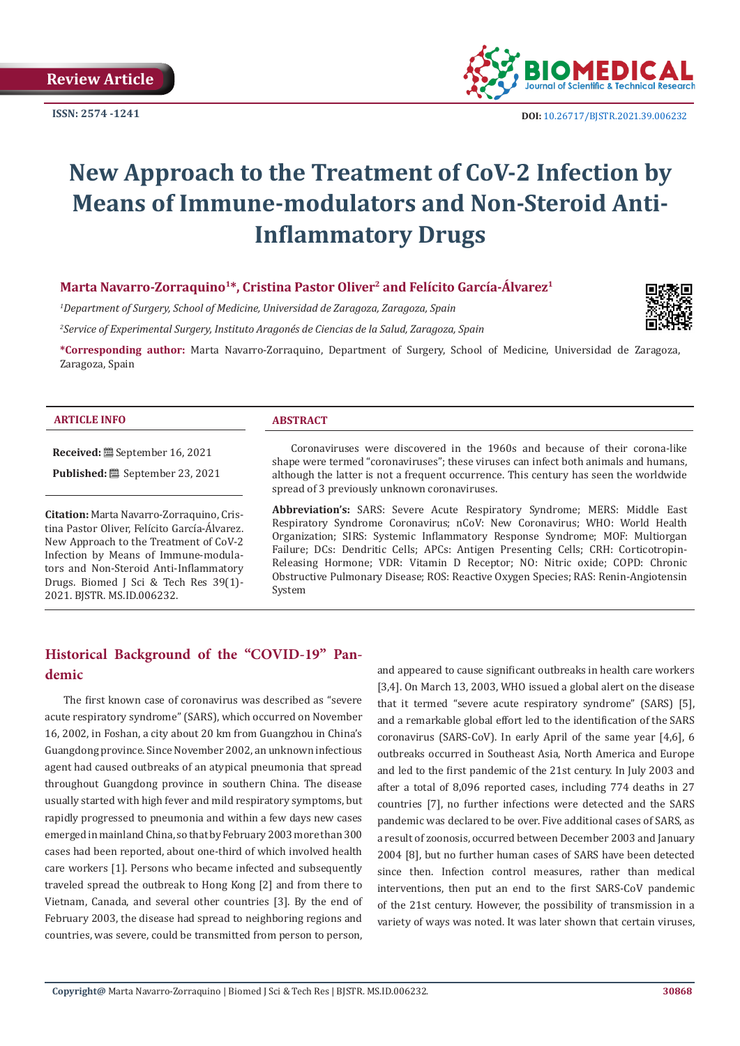**Review Article**

**ISSN: 2574 -1241**



 **DOI:** [10.26717/BJSTR.2021.39.006232](https://dx.doi.org/10.26717/BJSTR.2021.39.006232)

# **New Approach to the Treatment of CoV-2 Infection by Means of Immune-modulators and Non-Steroid Anti-Inflammatory Drugs**

### Marta Navarro-Zorraquino<sup>1\*</sup>, Cristina Pastor Oliver<sup>2</sup> and Felícito García-Álvarez<sup>1</sup>

*1 Department of Surgery, School of Medicine, Universidad de Zaragoza, Zaragoza, Spain*

*2 Service of Experimental Surgery, Instituto Aragonés de Ciencias de la Salud, Zaragoza, Spain*

**\*Corresponding author:** Marta Navarro-Zorraquino, Department of Surgery, School of Medicine, Universidad de Zaragoza, Zaragoza, Spain

#### **ARTICLE INFO ABSTRACT**

**Received:** September 16, 2021 **Published:** <sup>■</sup> September 23, 2021

**Citation:** Marta Navarro-Zorraquino, Cristina Pastor Oliver, Felícito García-Álvarez. New Approach to the Treatment of CoV-2 Infection by Means of Immune-modulators and Non-Steroid Anti-Inflammatory Drugs. Biomed J Sci & Tech Res 39(1)- 2021. BJSTR. MS.ID.006232.

#### Coronaviruses were discovered in the 1960s and because of their corona-like shape were termed "coronaviruses"; these viruses can infect both animals and humans, although the latter is not a frequent occurrence. This century has seen the worldwide spread of 3 previously unknown coronaviruses.

**Abbreviation's:** SARS: Severe Acute Respiratory Syndrome; MERS: Middle East Respiratory Syndrome Coronavirus; nCoV: New Coronavirus; WHO: World Health Organization; SIRS: Systemic Inflammatory Response Syndrome; MOF: Multiorgan Failure; DCs: Dendritic Cells; APCs: Antigen Presenting Cells; CRH: Corticotropin-Releasing Hormone; VDR: Vitamin D Receptor; NO: Nitric oxide; COPD: Chronic Obstructive Pulmonary Disease; ROS: Reactive Oxygen Species; RAS: Renin-Angiotensin System

# **Historical Background of the "COVID-19" Pandemic**

The first known case of coronavirus was described as "severe acute respiratory syndrome" (SARS), which occurred on November 16, 2002, in Foshan, a city about 20 km from Guangzhou in China's Guangdong province. Since November 2002, an unknown infectious agent had caused outbreaks of an atypical pneumonia that spread throughout Guangdong province in southern China. The disease usually started with high fever and mild respiratory symptoms, but rapidly progressed to pneumonia and within a few days new cases emerged in mainland China, so that by February 2003 more than 300 cases had been reported, about one-third of which involved health care workers [1]. Persons who became infected and subsequently traveled spread the outbreak to Hong Kong [2] and from there to Vietnam, Canada, and several other countries [3]. By the end of February 2003, the disease had spread to neighboring regions and countries, was severe, could be transmitted from person to person, and appeared to cause significant outbreaks in health care workers [3,4]. On March 13, 2003, WHO issued a global alert on the disease that it termed "severe acute respiratory syndrome" (SARS) [5], and a remarkable global effort led to the identification of the SARS coronavirus (SARS-CoV). In early April of the same year [4,6], 6 outbreaks occurred in Southeast Asia, North America and Europe and led to the first pandemic of the 21st century. In July 2003 and after a total of 8,096 reported cases, including 774 deaths in 27 countries [7], no further infections were detected and the SARS pandemic was declared to be over. Five additional cases of SARS, as a result of zoonosis, occurred between December 2003 and January 2004 [8], but no further human cases of SARS have been detected since then. Infection control measures, rather than medical interventions, then put an end to the first SARS-CoV pandemic of the 21st century. However, the possibility of transmission in a variety of ways was noted. It was later shown that certain viruses,

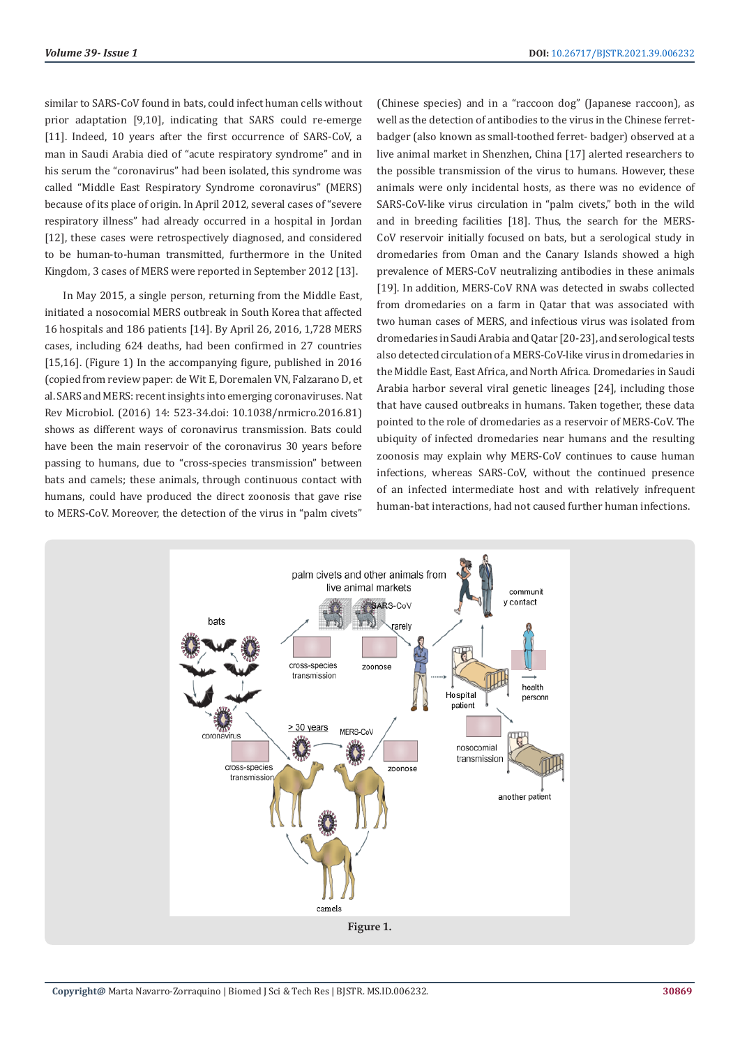similar to SARS-CoV found in bats, could infect human cells without prior adaptation [9,10], indicating that SARS could re-emerge [11]. Indeed, 10 years after the first occurrence of SARS-CoV, a man in Saudi Arabia died of "acute respiratory syndrome" and in his serum the "coronavirus" had been isolated, this syndrome was called "Middle East Respiratory Syndrome coronavirus" (MERS) because of its place of origin. In April 2012, several cases of "severe respiratory illness" had already occurred in a hospital in Jordan [12], these cases were retrospectively diagnosed, and considered to be human-to-human transmitted, furthermore in the United Kingdom, 3 cases of MERS were reported in September 2012 [13].

In May 2015, a single person, returning from the Middle East, initiated a nosocomial MERS outbreak in South Korea that affected 16 hospitals and 186 patients [14]. By April 26, 2016, 1,728 MERS cases, including 624 deaths, had been confirmed in 27 countries [15,16]. (Figure 1) In the accompanying figure, published in 2016 (copied from review paper: de Wit E, Doremalen VN, Falzarano D, et al. SARS and MERS: recent insights into emerging coronaviruses. Nat Rev Microbiol. (2016) 14: 523-34.doi: 10.1038/nrmicro.2016.81) shows as different ways of coronavirus transmission. Bats could have been the main reservoir of the coronavirus 30 years before passing to humans, due to "cross-species transmission" between bats and camels; these animals, through continuous contact with humans, could have produced the direct zoonosis that gave rise to MERS-CoV. Moreover, the detection of the virus in "palm civets"

(Chinese species) and in a "raccoon dog" (Japanese raccoon), as well as the detection of antibodies to the virus in the Chinese ferretbadger (also known as small-toothed ferret- badger) observed at a live animal market in Shenzhen, China [17] alerted researchers to the possible transmission of the virus to humans. However, these animals were only incidental hosts, as there was no evidence of SARS-CoV-like virus circulation in "palm civets," both in the wild and in breeding facilities [18]. Thus, the search for the MERS-CoV reservoir initially focused on bats, but a serological study in dromedaries from Oman and the Canary Islands showed a high prevalence of MERS-CoV neutralizing antibodies in these animals [19]. In addition, MERS-CoV RNA was detected in swabs collected from dromedaries on a farm in Qatar that was associated with two human cases of MERS, and infectious virus was isolated from dromedaries in Saudi Arabia and Qatar [20-23], and serological tests also detected circulation of a MERS-CoV-like virus in dromedaries in the Middle East, East Africa, and North Africa. Dromedaries in Saudi Arabia harbor several viral genetic lineages [24], including those that have caused outbreaks in humans. Taken together, these data pointed to the role of dromedaries as a reservoir of MERS-CoV. The ubiquity of infected dromedaries near humans and the resulting zoonosis may explain why MERS-CoV continues to cause human infections, whereas SARS-CoV, without the continued presence of an infected intermediate host and with relatively infrequent human-bat interactions, had not caused further human infections.

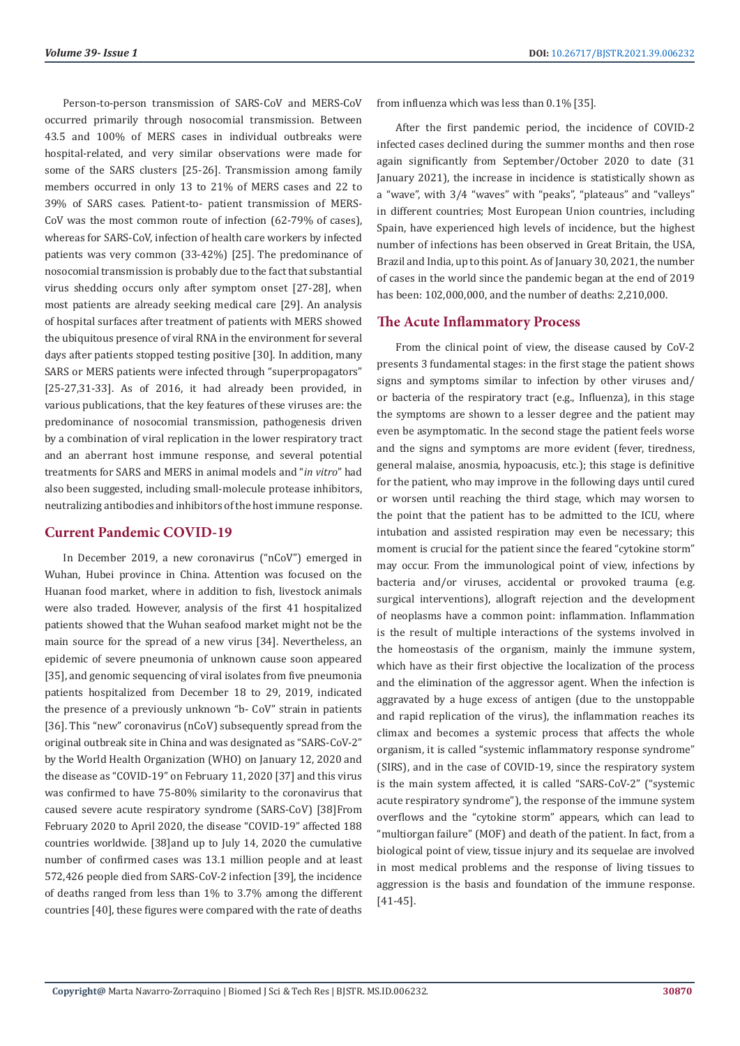Person-to-person transmission of SARS-CoV and MERS-CoV occurred primarily through nosocomial transmission. Between 43.5 and 100% of MERS cases in individual outbreaks were hospital-related, and very similar observations were made for some of the SARS clusters [25-26]. Transmission among family members occurred in only 13 to 21% of MERS cases and 22 to 39% of SARS cases. Patient-to- patient transmission of MERS-CoV was the most common route of infection (62-79% of cases), whereas for SARS-CoV, infection of health care workers by infected patients was very common (33-42%) [25]. The predominance of nosocomial transmission is probably due to the fact that substantial virus shedding occurs only after symptom onset [27-28], when most patients are already seeking medical care [29]. An analysis of hospital surfaces after treatment of patients with MERS showed the ubiquitous presence of viral RNA in the environment for several days after patients stopped testing positive [30]. In addition, many SARS or MERS patients were infected through "superpropagators" [25-27,31-33]. As of 2016, it had already been provided, in various publications, that the key features of these viruses are: the predominance of nosocomial transmission, pathogenesis driven by a combination of viral replication in the lower respiratory tract and an aberrant host immune response, and several potential treatments for SARS and MERS in animal models and "*in vitro*" had also been suggested, including small-molecule protease inhibitors, neutralizing antibodies and inhibitors of the host immune response.

### **Current Pandemic COVID-19**

In December 2019, a new coronavirus ("nCoV") emerged in Wuhan, Hubei province in China. Attention was focused on the Huanan food market, where in addition to fish, livestock animals were also traded. However, analysis of the first 41 hospitalized patients showed that the Wuhan seafood market might not be the main source for the spread of a new virus [34]. Nevertheless, an epidemic of severe pneumonia of unknown cause soon appeared [35], and genomic sequencing of viral isolates from five pneumonia patients hospitalized from December 18 to 29, 2019, indicated the presence of a previously unknown "b- CoV" strain in patients [36]. This "new" coronavirus (nCoV) subsequently spread from the original outbreak site in China and was designated as "SARS-CoV-2" by the World Health Organization (WHO) on January 12, 2020 and the disease as "COVID-19" on February 11, 2020 [37] and this virus was confirmed to have 75-80% similarity to the coronavirus that caused severe acute respiratory syndrome (SARS-CoV) [38]From February 2020 to April 2020, the disease "COVID-19" affected 188 countries worldwide. [38]and up to July 14, 2020 the cumulative number of confirmed cases was 13.1 million people and at least 572,426 people died from SARS-CoV-2 infection [39], the incidence of deaths ranged from less than 1% to 3.7% among the different countries [40], these figures were compared with the rate of deaths

from influenza which was less than 0.1% [35].

After the first pandemic period, the incidence of COVID-2 infected cases declined during the summer months and then rose again significantly from September/October 2020 to date (31 January 2021), the increase in incidence is statistically shown as a "wave", with 3/4 "waves" with "peaks", "plateaus" and "valleys" in different countries; Most European Union countries, including Spain, have experienced high levels of incidence, but the highest number of infections has been observed in Great Britain, the USA, Brazil and India, up to this point. As of January 30, 2021, the number of cases in the world since the pandemic began at the end of 2019 has been: 102,000,000, and the number of deaths: 2,210,000.

#### **The Acute Inflammatory Process**

From the clinical point of view, the disease caused by CoV-2 presents 3 fundamental stages: in the first stage the patient shows signs and symptoms similar to infection by other viruses and/ or bacteria of the respiratory tract (e.g., Influenza), in this stage the symptoms are shown to a lesser degree and the patient may even be asymptomatic. In the second stage the patient feels worse and the signs and symptoms are more evident (fever, tiredness, general malaise, anosmia, hypoacusis, etc.); this stage is definitive for the patient, who may improve in the following days until cured or worsen until reaching the third stage, which may worsen to the point that the patient has to be admitted to the ICU, where intubation and assisted respiration may even be necessary; this moment is crucial for the patient since the feared "cytokine storm" may occur. From the immunological point of view, infections by bacteria and/or viruses, accidental or provoked trauma (e.g. surgical interventions), allograft rejection and the development of neoplasms have a common point: inflammation. Inflammation is the result of multiple interactions of the systems involved in the homeostasis of the organism, mainly the immune system, which have as their first objective the localization of the process and the elimination of the aggressor agent. When the infection is aggravated by a huge excess of antigen (due to the unstoppable and rapid replication of the virus), the inflammation reaches its climax and becomes a systemic process that affects the whole organism, it is called "systemic inflammatory response syndrome" (SIRS), and in the case of COVID-19, since the respiratory system is the main system affected, it is called "SARS-CoV-2" ("systemic acute respiratory syndrome"), the response of the immune system overflows and the "cytokine storm" appears, which can lead to "multiorgan failure" (MOF) and death of the patient. In fact, from a biological point of view, tissue injury and its sequelae are involved in most medical problems and the response of living tissues to aggression is the basis and foundation of the immune response. [41-45].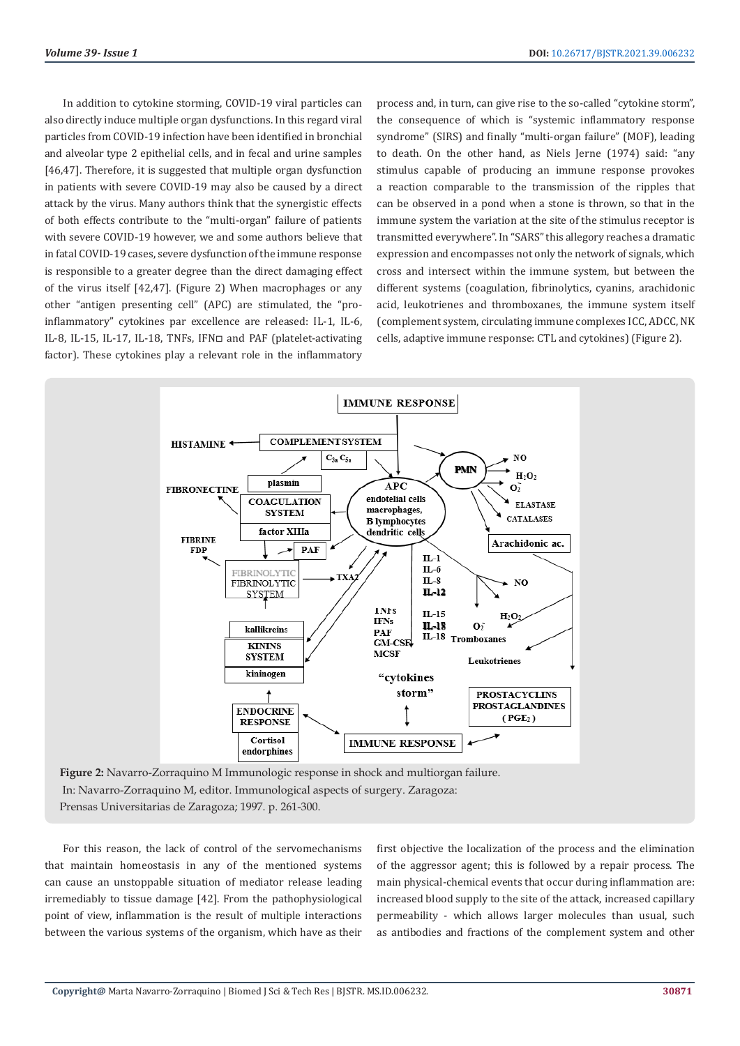In addition to cytokine storming, COVID-19 viral particles can also directly induce multiple organ dysfunctions. In this regard viral particles from COVID-19 infection have been identified in bronchial and alveolar type 2 epithelial cells, and in fecal and urine samples [46,47]. Therefore, it is suggested that multiple organ dysfunction in patients with severe COVID-19 may also be caused by a direct attack by the virus. Many authors think that the synergistic effects of both effects contribute to the "multi-organ" failure of patients with severe COVID-19 however, we and some authors believe that in fatal COVID-19 cases, severe dysfunction of the immune response is responsible to a greater degree than the direct damaging effect of the virus itself [42,47]. (Figure 2) When macrophages or any other "antigen presenting cell" (APC) are stimulated, the "proinflammatory" cytokines par excellence are released: IL-1, IL-6, IL-8, IL-15, IL-17, IL-18, TNFs, IFN□ and PAF (platelet-activating factor). These cytokines play a relevant role in the inflammatory

process and, in turn, can give rise to the so-called "cytokine storm", the consequence of which is "systemic inflammatory response syndrome" (SIRS) and finally "multi-organ failure" (MOF), leading to death. On the other hand, as Niels Jerne (1974) said: "any stimulus capable of producing an immune response provokes a reaction comparable to the transmission of the ripples that can be observed in a pond when a stone is thrown, so that in the immune system the variation at the site of the stimulus receptor is transmitted everywhere". In "SARS" this allegory reaches a dramatic expression and encompasses not only the network of signals, which cross and intersect within the immune system, but between the different systems (coagulation, fibrinolytics, cyanins, arachidonic acid, leukotrienes and thromboxanes, the immune system itself (complement system, circulating immune complexes ICC, ADCC, NK cells, adaptive immune response: CTL and cytokines) (Figure 2).



 In: Navarro-Zorraquino M, editor. Immunological aspects of surgery. Zaragoza: Prensas Universitarias de Zaragoza; 1997. p. 261-300.

For this reason, the lack of control of the servomechanisms that maintain homeostasis in any of the mentioned systems can cause an unstoppable situation of mediator release leading irremediably to tissue damage [42]. From the pathophysiological point of view, inflammation is the result of multiple interactions between the various systems of the organism, which have as their

first objective the localization of the process and the elimination of the aggressor agent; this is followed by a repair process. The main physical-chemical events that occur during inflammation are: increased blood supply to the site of the attack, increased capillary permeability - which allows larger molecules than usual, such as antibodies and fractions of the complement system and other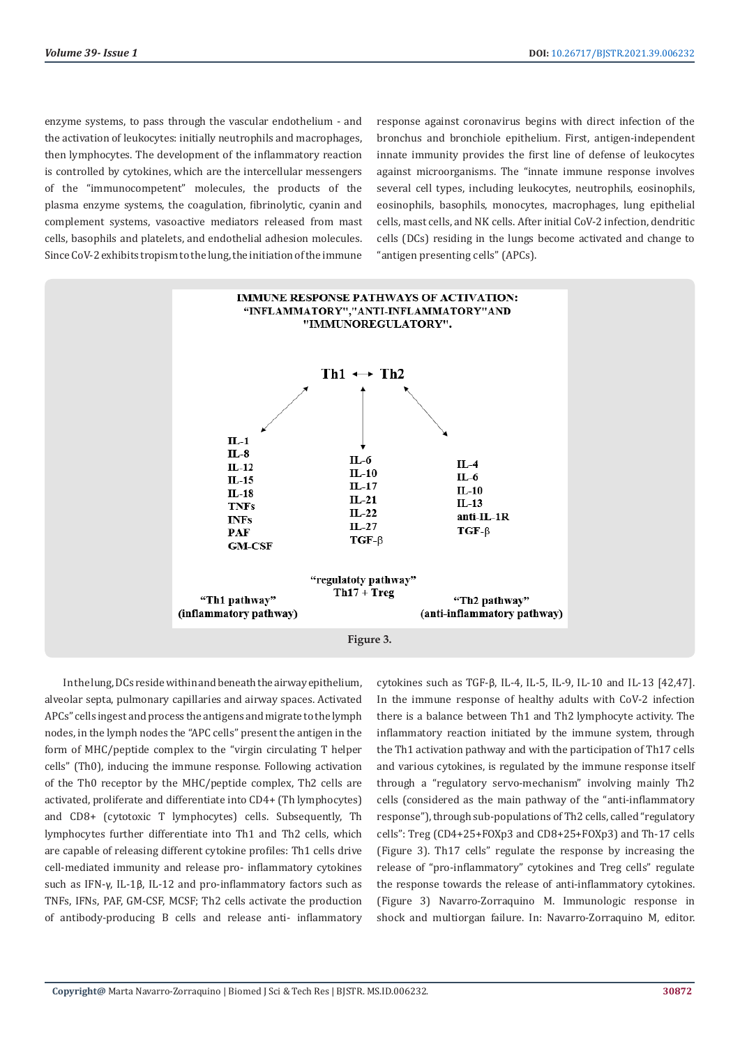enzyme systems, to pass through the vascular endothelium - and the activation of leukocytes: initially neutrophils and macrophages, then lymphocytes. The development of the inflammatory reaction is controlled by cytokines, which are the intercellular messengers of the "immunocompetent" molecules, the products of the plasma enzyme systems, the coagulation, fibrinolytic, cyanin and complement systems, vasoactive mediators released from mast cells, basophils and platelets, and endothelial adhesion molecules. Since CoV-2 exhibits tropism to the lung, the initiation of the immune

response against coronavirus begins with direct infection of the bronchus and bronchiole epithelium. First, antigen-independent innate immunity provides the first line of defense of leukocytes against microorganisms. The "innate immune response involves several cell types, including leukocytes, neutrophils, eosinophils, eosinophils, basophils, monocytes, macrophages, lung epithelial cells, mast cells, and NK cells. After initial CoV-2 infection, dendritic cells (DCs) residing in the lungs become activated and change to "antigen presenting cells" (APCs).



In the lung, DCs reside within and beneath the airway epithelium, alveolar septa, pulmonary capillaries and airway spaces. Activated APCs" cells ingest and process the antigens and migrate to the lymph nodes, in the lymph nodes the "APC cells" present the antigen in the form of MHC/peptide complex to the "virgin circulating T helper cells" (Th0), inducing the immune response. Following activation of the Th0 receptor by the MHC/peptide complex, Th2 cells are activated, proliferate and differentiate into CD4+ (Th lymphocytes) and CD8+ (cytotoxic T lymphocytes) cells. Subsequently, Th lymphocytes further differentiate into Th1 and Th2 cells, which are capable of releasing different cytokine profiles: Th1 cells drive cell-mediated immunity and release pro- inflammatory cytokines such as IFN-γ, IL-1β, IL-12 and pro-inflammatory factors such as TNFs, IFNs, PAF, GM-CSF, MCSF; Th2 cells activate the production of antibody-producing B cells and release anti- inflammatory

cytokines such as TGF-β, IL-4, IL-5, IL-9, IL-10 and IL-13 [42,47]. In the immune response of healthy adults with CoV-2 infection there is a balance between Th1 and Th2 lymphocyte activity. The inflammatory reaction initiated by the immune system, through the Th1 activation pathway and with the participation of Th17 cells and various cytokines, is regulated by the immune response itself through a "regulatory servo-mechanism" involving mainly Th2 cells (considered as the main pathway of the "anti-inflammatory response"), through sub-populations of Th2 cells, called "regulatory cells": Treg (CD4+25+FOXp3 and CD8+25+FOXp3) and Th-17 cells (Figure 3). Th17 cells" regulate the response by increasing the release of "pro-inflammatory" cytokines and Treg cells" regulate the response towards the release of anti-inflammatory cytokines. (Figure 3) Navarro-Zorraquino M. Immunologic response in shock and multiorgan failure. In: Navarro-Zorraquino M, editor.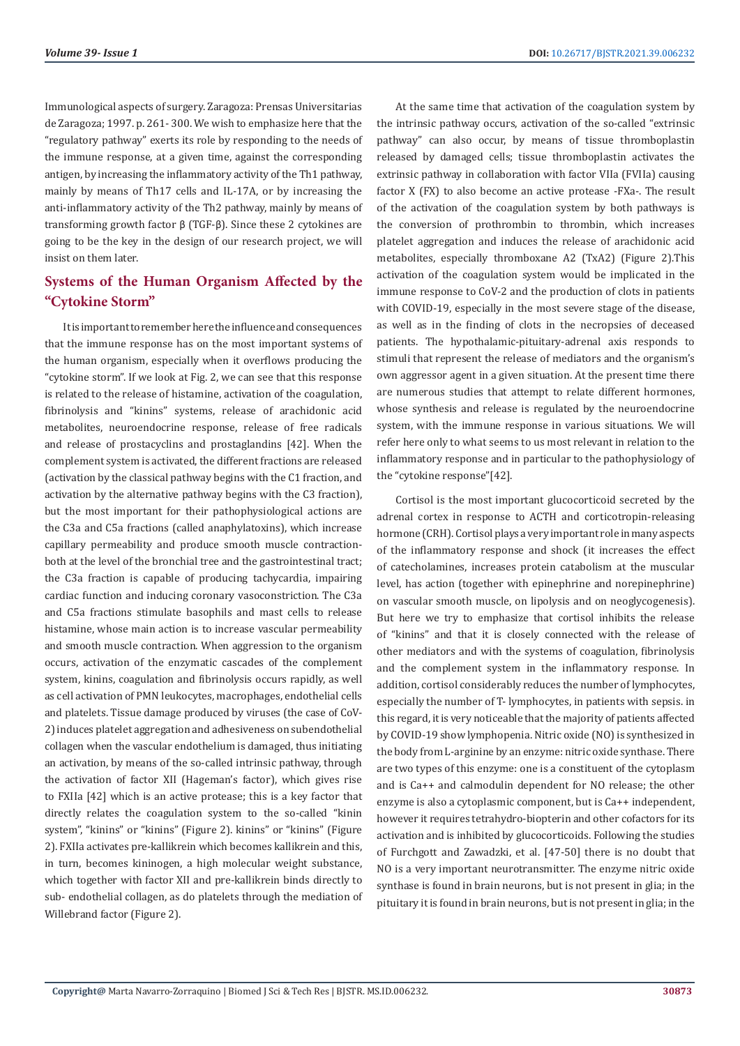Immunological aspects of surgery. Zaragoza: Prensas Universitarias de Zaragoza; 1997. p. 261- 300. We wish to emphasize here that the "regulatory pathway" exerts its role by responding to the needs of the immune response, at a given time, against the corresponding antigen, by increasing the inflammatory activity of the Th1 pathway, mainly by means of Th17 cells and IL-17A, or by increasing the anti-inflammatory activity of the Th2 pathway, mainly by means of transforming growth factor β (TGF-β). Since these 2 cytokines are going to be the key in the design of our research project, we will insist on them later.

# **Systems of the Human Organism Affected by the "Cytokine Storm"**

It is important to remember here the influence and consequences that the immune response has on the most important systems of the human organism, especially when it overflows producing the "cytokine storm". If we look at Fig. 2, we can see that this response is related to the release of histamine, activation of the coagulation, fibrinolysis and "kinins" systems, release of arachidonic acid metabolites, neuroendocrine response, release of free radicals and release of prostacyclins and prostaglandins [42]. When the complement system is activated, the different fractions are released (activation by the classical pathway begins with the C1 fraction, and activation by the alternative pathway begins with the C3 fraction), but the most important for their pathophysiological actions are the C3a and C5a fractions (called anaphylatoxins), which increase capillary permeability and produce smooth muscle contractionboth at the level of the bronchial tree and the gastrointestinal tract; the C3a fraction is capable of producing tachycardia, impairing cardiac function and inducing coronary vasoconstriction. The C3a and C5a fractions stimulate basophils and mast cells to release histamine, whose main action is to increase vascular permeability and smooth muscle contraction. When aggression to the organism occurs, activation of the enzymatic cascades of the complement system, kinins, coagulation and fibrinolysis occurs rapidly, as well as cell activation of PMN leukocytes, macrophages, endothelial cells and platelets. Tissue damage produced by viruses (the case of CoV-2) induces platelet aggregation and adhesiveness on subendothelial collagen when the vascular endothelium is damaged, thus initiating an activation, by means of the so-called intrinsic pathway, through the activation of factor XII (Hageman's factor), which gives rise to FXIIa [42] which is an active protease; this is a key factor that directly relates the coagulation system to the so-called "kinin system", "kinins" or "kinins" (Figure 2). kinins" or "kinins" (Figure 2). FXIIa activates pre-kallikrein which becomes kallikrein and this, in turn, becomes kininogen, a high molecular weight substance, which together with factor XII and pre-kallikrein binds directly to sub- endothelial collagen, as do platelets through the mediation of Willebrand factor (Figure 2).

At the same time that activation of the coagulation system by the intrinsic pathway occurs, activation of the so-called "extrinsic pathway" can also occur, by means of tissue thromboplastin released by damaged cells; tissue thromboplastin activates the extrinsic pathway in collaboration with factor VIIa (FVIIa) causing factor X (FX) to also become an active protease -FXa-. The result of the activation of the coagulation system by both pathways is the conversion of prothrombin to thrombin, which increases platelet aggregation and induces the release of arachidonic acid metabolites, especially thromboxane A2 (TxA2) (Figure 2).This activation of the coagulation system would be implicated in the immune response to CoV-2 and the production of clots in patients with COVID-19, especially in the most severe stage of the disease, as well as in the finding of clots in the necropsies of deceased patients. The hypothalamic-pituitary-adrenal axis responds to stimuli that represent the release of mediators and the organism's own aggressor agent in a given situation. At the present time there are numerous studies that attempt to relate different hormones, whose synthesis and release is regulated by the neuroendocrine system, with the immune response in various situations. We will refer here only to what seems to us most relevant in relation to the inflammatory response and in particular to the pathophysiology of the "cytokine response"[42].

Cortisol is the most important glucocorticoid secreted by the adrenal cortex in response to ACTH and corticotropin-releasing hormone (CRH). Cortisol plays a very important role in many aspects of the inflammatory response and shock (it increases the effect of catecholamines, increases protein catabolism at the muscular level, has action (together with epinephrine and norepinephrine) on vascular smooth muscle, on lipolysis and on neoglycogenesis). But here we try to emphasize that cortisol inhibits the release of "kinins" and that it is closely connected with the release of other mediators and with the systems of coagulation, fibrinolysis and the complement system in the inflammatory response. In addition, cortisol considerably reduces the number of lymphocytes, especially the number of T- lymphocytes, in patients with sepsis. in this regard, it is very noticeable that the majority of patients affected by COVID-19 show lymphopenia. Nitric oxide (NO) is synthesized in the body from L-arginine by an enzyme: nitric oxide synthase. There are two types of this enzyme: one is a constituent of the cytoplasm and is Ca++ and calmodulin dependent for NO release; the other enzyme is also a cytoplasmic component, but is Ca++ independent, however it requires tetrahydro-biopterin and other cofactors for its activation and is inhibited by glucocorticoids. Following the studies of Furchgott and Zawadzki, et al. [47-50] there is no doubt that NO is a very important neurotransmitter. The enzyme nitric oxide synthase is found in brain neurons, but is not present in glia; in the pituitary it is found in brain neurons, but is not present in glia; in the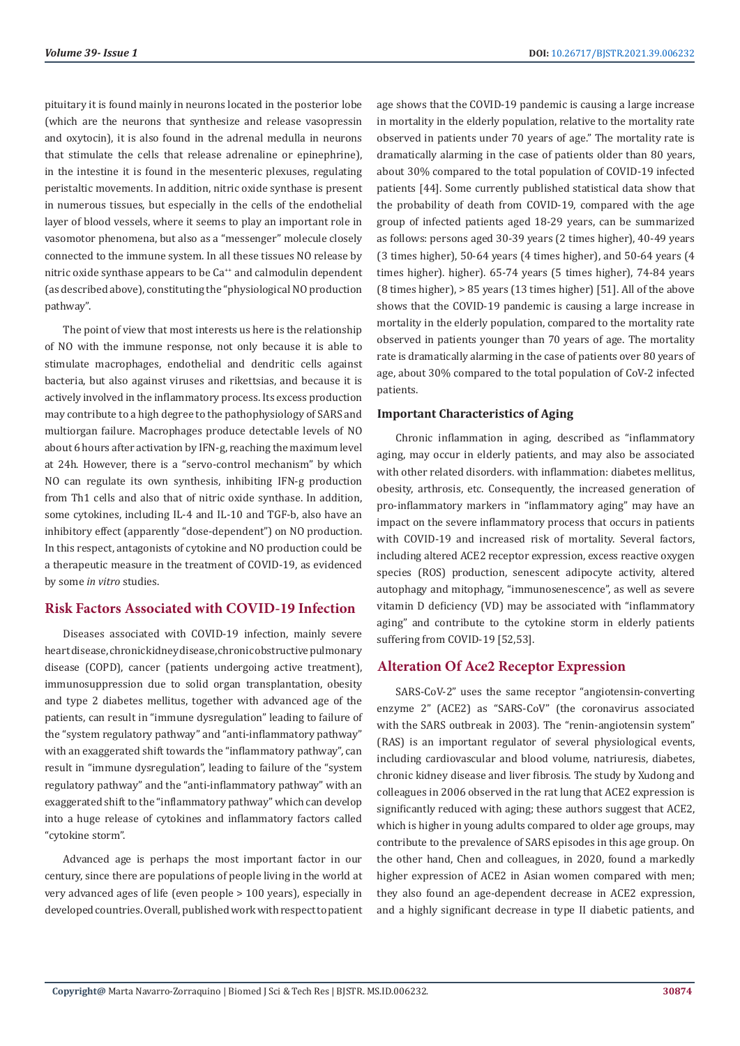pituitary it is found mainly in neurons located in the posterior lobe (which are the neurons that synthesize and release vasopressin and oxytocin), it is also found in the adrenal medulla in neurons that stimulate the cells that release adrenaline or epinephrine), in the intestine it is found in the mesenteric plexuses, regulating peristaltic movements. In addition, nitric oxide synthase is present in numerous tissues, but especially in the cells of the endothelial layer of blood vessels, where it seems to play an important role in vasomotor phenomena, but also as a "messenger" molecule closely connected to the immune system. In all these tissues NO release by nitric oxide synthase appears to be Ca<sup>++</sup> and calmodulin dependent (as described above), constituting the "physiological NO production pathway".

The point of view that most interests us here is the relationship of NO with the immune response, not only because it is able to stimulate macrophages, endothelial and dendritic cells against bacteria, but also against viruses and rikettsias, and because it is actively involved in the inflammatory process. Its excess production may contribute to a high degree to the pathophysiology of SARS and multiorgan failure. Macrophages produce detectable levels of NO about 6 hours after activation by IFN-g, reaching the maximum level at 24h. However, there is a "servo-control mechanism" by which NO can regulate its own synthesis, inhibiting IFN-g production from Th1 cells and also that of nitric oxide synthase. In addition, some cytokines, including IL-4 and IL-10 and TGF-b, also have an inhibitory effect (apparently "dose-dependent") on NO production. In this respect, antagonists of cytokine and NO production could be a therapeutic measure in the treatment of COVID-19, as evidenced by some *in vitro* studies.

### **Risk Factors Associated with COVID-19 Infection**

Diseases associated with COVID-19 infection, mainly severe heart disease, chronic kidney disease, chronic obstructive pulmonary disease (COPD), cancer (patients undergoing active treatment), immunosuppression due to solid organ transplantation, obesity and type 2 diabetes mellitus, together with advanced age of the patients, can result in "immune dysregulation" leading to failure of the "system regulatory pathway" and "anti-inflammatory pathway" with an exaggerated shift towards the "inflammatory pathway", can result in "immune dysregulation", leading to failure of the "system regulatory pathway" and the "anti-inflammatory pathway" with an exaggerated shift to the "inflammatory pathway" which can develop into a huge release of cytokines and inflammatory factors called "cytokine storm".

Advanced age is perhaps the most important factor in our century, since there are populations of people living in the world at very advanced ages of life (even people > 100 years), especially in developed countries. Overall, published work with respect to patient age shows that the COVID-19 pandemic is causing a large increase in mortality in the elderly population, relative to the mortality rate observed in patients under 70 years of age." The mortality rate is dramatically alarming in the case of patients older than 80 years, about 30% compared to the total population of COVID-19 infected patients [44]. Some currently published statistical data show that the probability of death from COVID-19, compared with the age group of infected patients aged 18-29 years, can be summarized as follows: persons aged 30-39 years (2 times higher), 40-49 years (3 times higher), 50-64 years (4 times higher), and 50-64 years (4 times higher). higher). 65-74 years (5 times higher), 74-84 years (8 times higher), > 85 years (13 times higher) [51]. All of the above shows that the COVID-19 pandemic is causing a large increase in mortality in the elderly population, compared to the mortality rate observed in patients younger than 70 years of age. The mortality rate is dramatically alarming in the case of patients over 80 years of age, about 30% compared to the total population of CoV-2 infected patients.

#### **Important Characteristics of Aging**

Chronic inflammation in aging, described as "inflammatory aging, may occur in elderly patients, and may also be associated with other related disorders. with inflammation: diabetes mellitus, obesity, arthrosis, etc. Consequently, the increased generation of pro-inflammatory markers in "inflammatory aging" may have an impact on the severe inflammatory process that occurs in patients with COVID-19 and increased risk of mortality. Several factors, including altered ACE2 receptor expression, excess reactive oxygen species (ROS) production, senescent adipocyte activity, altered autophagy and mitophagy, "immunosenescence", as well as severe vitamin D deficiency (VD) may be associated with "inflammatory aging" and contribute to the cytokine storm in elderly patients suffering from COVID-19 [52,53].

#### **Alteration Of Ace2 Receptor Expression**

SARS-CoV-2" uses the same receptor "angiotensin-converting enzyme 2" (ACE2) as "SARS-CoV" (the coronavirus associated with the SARS outbreak in 2003). The "renin-angiotensin system" (RAS) is an important regulator of several physiological events, including cardiovascular and blood volume, natriuresis, diabetes, chronic kidney disease and liver fibrosis. The study by Xudong and colleagues in 2006 observed in the rat lung that ACE2 expression is significantly reduced with aging; these authors suggest that ACE2, which is higher in young adults compared to older age groups, may contribute to the prevalence of SARS episodes in this age group. On the other hand, Chen and colleagues, in 2020, found a markedly higher expression of ACE2 in Asian women compared with men; they also found an age-dependent decrease in ACE2 expression, and a highly significant decrease in type II diabetic patients, and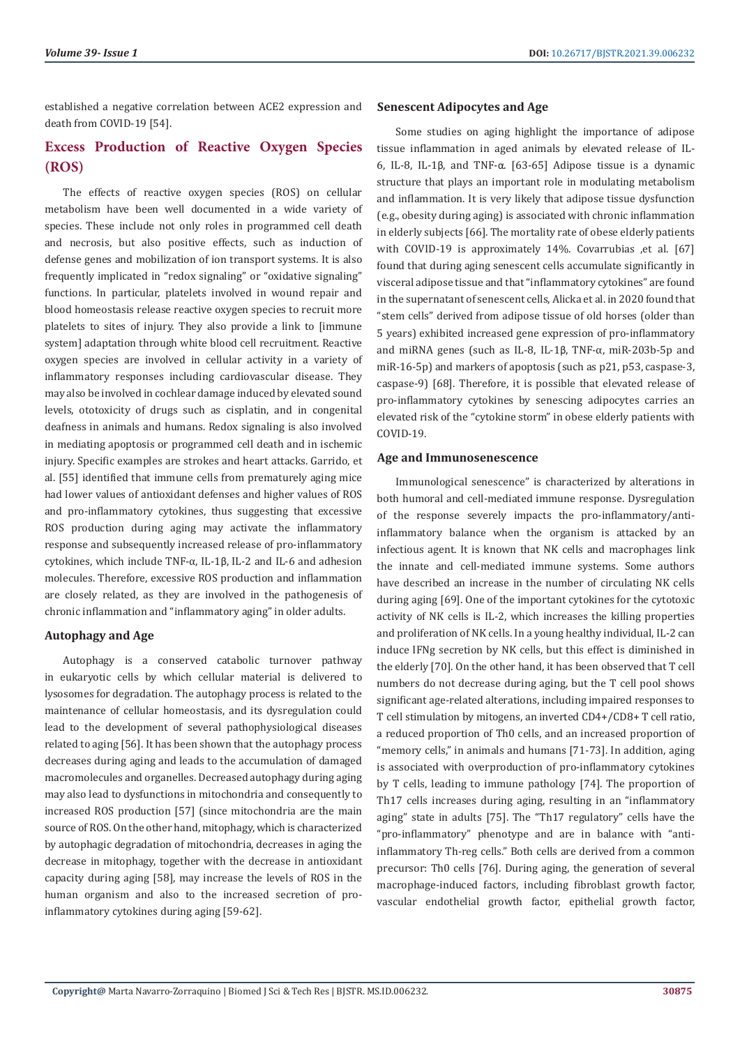established a negative correlation between ACE2 expression and death from COVID-19 [54].

# **Excess Production of Reactive Oxygen Species (ROS)**

The effects of reactive oxygen species (ROS) on cellular metabolism have been well documented in a wide variety of species. These include not only roles in programmed cell death and necrosis, but also positive effects, such as induction of defense genes and mobilization of ion transport systems. It is also frequently implicated in "redox signaling" or "oxidative signaling" functions. In particular, platelets involved in wound repair and blood homeostasis release reactive oxygen species to recruit more platelets to sites of injury. They also provide a link to [immune system] adaptation through white blood cell recruitment. Reactive oxygen species are involved in cellular activity in a variety of inflammatory responses including cardiovascular disease. They may also be involved in cochlear damage induced by elevated sound levels, ototoxicity of drugs such as cisplatin, and in congenital deafness in animals and humans. Redox signaling is also involved in mediating apoptosis or programmed cell death and in ischemic injury. Specific examples are strokes and heart attacks. Garrido, et al. [55] identified that immune cells from prematurely aging mice had lower values of antioxidant defenses and higher values of ROS and pro-inflammatory cytokines, thus suggesting that excessive ROS production during aging may activate the inflammatory response and subsequently increased release of pro-inflammatory cytokines, which include TNF-α, IL-1β, IL-2 and IL-6 and adhesion molecules. Therefore, excessive ROS production and inflammation are closely related, as they are involved in the pathogenesis of chronic inflammation and "inflammatory aging" in older adults.

# **Autophagy and Age**

Autophagy is a conserved catabolic turnover pathway in eukaryotic cells by which cellular material is delivered to lysosomes for degradation. The autophagy process is related to the maintenance of cellular homeostasis, and its dysregulation could lead to the development of several pathophysiological diseases related to aging [56]. It has been shown that the autophagy process decreases during aging and leads to the accumulation of damaged macromolecules and organelles. Decreased autophagy during aging may also lead to dysfunctions in mitochondria and consequently to increased ROS production [57] (since mitochondria are the main source of ROS. On the other hand, mitophagy, which is characterized by autophagic degradation of mitochondria, decreases in aging the decrease in mitophagy, together with the decrease in antioxidant capacity during aging [58], may increase the levels of ROS in the human organism and also to the increased secretion of proinflammatory cytokines during aging [59-62].

#### **Senescent Adipocytes and Age**

Some studies on aging highlight the importance of adipose tissue inflammation in aged animals by elevated release of IL-6, IL-8, IL-1β, and TNF-α. [63-65] Adipose tissue is a dynamic structure that plays an important role in modulating metabolism and inflammation. It is very likely that adipose tissue dysfunction (e.g., obesity during aging) is associated with chronic inflammation in elderly subjects [66]. The mortality rate of obese elderly patients with COVID-19 is approximately 14%. Covarrubias ,et al. [67] found that during aging senescent cells accumulate significantly in visceral adipose tissue and that "inflammatory cytokines" are found in the supernatant of senescent cells, Alicka et al. in 2020 found that "stem cells" derived from adipose tissue of old horses (older than 5 years) exhibited increased gene expression of pro-inflammatory and miRNA genes (such as IL-8, IL-1β, TNF-α, miR-203b-5p and miR-16-5p) and markers of apoptosis (such as p21, p53, caspase-3, caspase-9) [68]. Therefore, it is possible that elevated release of pro-inflammatory cytokines by senescing adipocytes carries an elevated risk of the "cytokine storm" in obese elderly patients with COVID-19.

#### **Age and Immunosenescence**

Immunological senescence" is characterized by alterations in both humoral and cell-mediated immune response. Dysregulation of the response severely impacts the pro-inflammatory/antiinflammatory balance when the organism is attacked by an infectious agent. It is known that NK cells and macrophages link the innate and cell-mediated immune systems. Some authors have described an increase in the number of circulating NK cells during aging [69]. One of the important cytokines for the cytotoxic activity of NK cells is IL-2, which increases the killing properties and proliferation of NK cells. In a young healthy individual, IL-2 can induce IFNg secretion by NK cells, but this effect is diminished in the elderly [70]. On the other hand, it has been observed that T cell numbers do not decrease during aging, but the T cell pool shows significant age-related alterations, including impaired responses to T cell stimulation by mitogens, an inverted CD4+/CD8+ T cell ratio, a reduced proportion of Th0 cells, and an increased proportion of "memory cells," in animals and humans [71-73]. In addition, aging is associated with overproduction of pro-inflammatory cytokines by T cells, leading to immune pathology [74]. The proportion of Th17 cells increases during aging, resulting in an "inflammatory aging" state in adults [75]. The "Th17 regulatory" cells have the "pro-inflammatory" phenotype and are in balance with "antiinflammatory Th-reg cells." Both cells are derived from a common precursor: Th0 cells [76]. During aging, the generation of several macrophage-induced factors, including fibroblast growth factor, vascular endothelial growth factor, epithelial growth factor,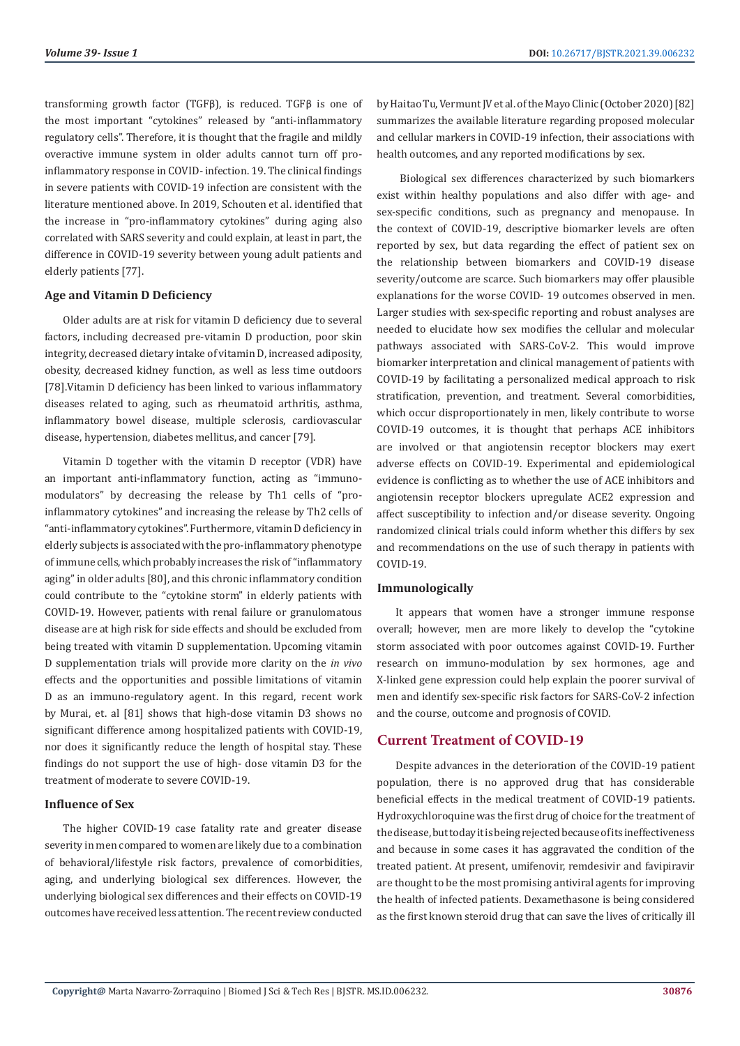transforming growth factor (TGFβ), is reduced. TGFβ is one of the most important "cytokines" released by "anti-inflammatory regulatory cells". Therefore, it is thought that the fragile and mildly overactive immune system in older adults cannot turn off proinflammatory response in COVID- infection. 19. The clinical findings in severe patients with COVID-19 infection are consistent with the literature mentioned above. In 2019, Schouten et al. identified that the increase in "pro-inflammatory cytokines" during aging also correlated with SARS severity and could explain, at least in part, the difference in COVID-19 severity between young adult patients and elderly patients [77].

#### **Age and Vitamin D Deficiency**

Older adults are at risk for vitamin D deficiency due to several factors, including decreased pre-vitamin D production, poor skin integrity, decreased dietary intake of vitamin D, increased adiposity, obesity, decreased kidney function, as well as less time outdoors [78].Vitamin D deficiency has been linked to various inflammatory diseases related to aging, such as rheumatoid arthritis, asthma, inflammatory bowel disease, multiple sclerosis, cardiovascular disease, hypertension, diabetes mellitus, and cancer [79].

Vitamin D together with the vitamin D receptor (VDR) have an important anti-inflammatory function, acting as "immunomodulators" by decreasing the release by Th1 cells of "proinflammatory cytokines" and increasing the release by Th2 cells of "anti-inflammatory cytokines". Furthermore, vitamin D deficiency in elderly subjects is associated with the pro-inflammatory phenotype of immune cells, which probably increases the risk of "inflammatory aging" in older adults [80], and this chronic inflammatory condition could contribute to the "cytokine storm" in elderly patients with COVID-19. However, patients with renal failure or granulomatous disease are at high risk for side effects and should be excluded from being treated with vitamin D supplementation. Upcoming vitamin D supplementation trials will provide more clarity on the *in vivo* effects and the opportunities and possible limitations of vitamin D as an immuno-regulatory agent. In this regard, recent work by Murai, et. al [81] shows that high-dose vitamin D3 shows no significant difference among hospitalized patients with COVID-19, nor does it significantly reduce the length of hospital stay. These findings do not support the use of high- dose vitamin D3 for the treatment of moderate to severe COVID-19.

#### **Influence of Sex**

The higher COVID-19 case fatality rate and greater disease severity in men compared to women are likely due to a combination of behavioral/lifestyle risk factors, prevalence of comorbidities, aging, and underlying biological sex differences. However, the underlying biological sex differences and their effects on COVID-19 outcomes have received less attention. The recent review conducted by Haitao Tu, Vermunt JV et al. of the Mayo Clinic (October 2020) [82] summarizes the available literature regarding proposed molecular and cellular markers in COVID-19 infection, their associations with health outcomes, and any reported modifications by sex.

 Biological sex differences characterized by such biomarkers exist within healthy populations and also differ with age- and sex-specific conditions, such as pregnancy and menopause. In the context of COVID-19, descriptive biomarker levels are often reported by sex, but data regarding the effect of patient sex on the relationship between biomarkers and COVID-19 disease severity/outcome are scarce. Such biomarkers may offer plausible explanations for the worse COVID- 19 outcomes observed in men. Larger studies with sex-specific reporting and robust analyses are needed to elucidate how sex modifies the cellular and molecular pathways associated with SARS-CoV-2. This would improve biomarker interpretation and clinical management of patients with COVID-19 by facilitating a personalized medical approach to risk stratification, prevention, and treatment. Several comorbidities, which occur disproportionately in men, likely contribute to worse COVID-19 outcomes, it is thought that perhaps ACE inhibitors are involved or that angiotensin receptor blockers may exert adverse effects on COVID-19. Experimental and epidemiological evidence is conflicting as to whether the use of ACE inhibitors and angiotensin receptor blockers upregulate ACE2 expression and affect susceptibility to infection and/or disease severity. Ongoing randomized clinical trials could inform whether this differs by sex and recommendations on the use of such therapy in patients with COVID-19.

#### **Immunologically**

It appears that women have a stronger immune response overall; however, men are more likely to develop the "cytokine storm associated with poor outcomes against COVID-19. Further research on immuno-modulation by sex hormones, age and X-linked gene expression could help explain the poorer survival of men and identify sex-specific risk factors for SARS-CoV-2 infection and the course, outcome and prognosis of COVID.

# **Current Treatment of COVID-19**

Despite advances in the deterioration of the COVID-19 patient population, there is no approved drug that has considerable beneficial effects in the medical treatment of COVID-19 patients. Hydroxychloroquine was the first drug of choice for the treatment of the disease, but today it is being rejected because of its ineffectiveness and because in some cases it has aggravated the condition of the treated patient. At present, umifenovir, remdesivir and favipiravir are thought to be the most promising antiviral agents for improving the health of infected patients. Dexamethasone is being considered as the first known steroid drug that can save the lives of critically ill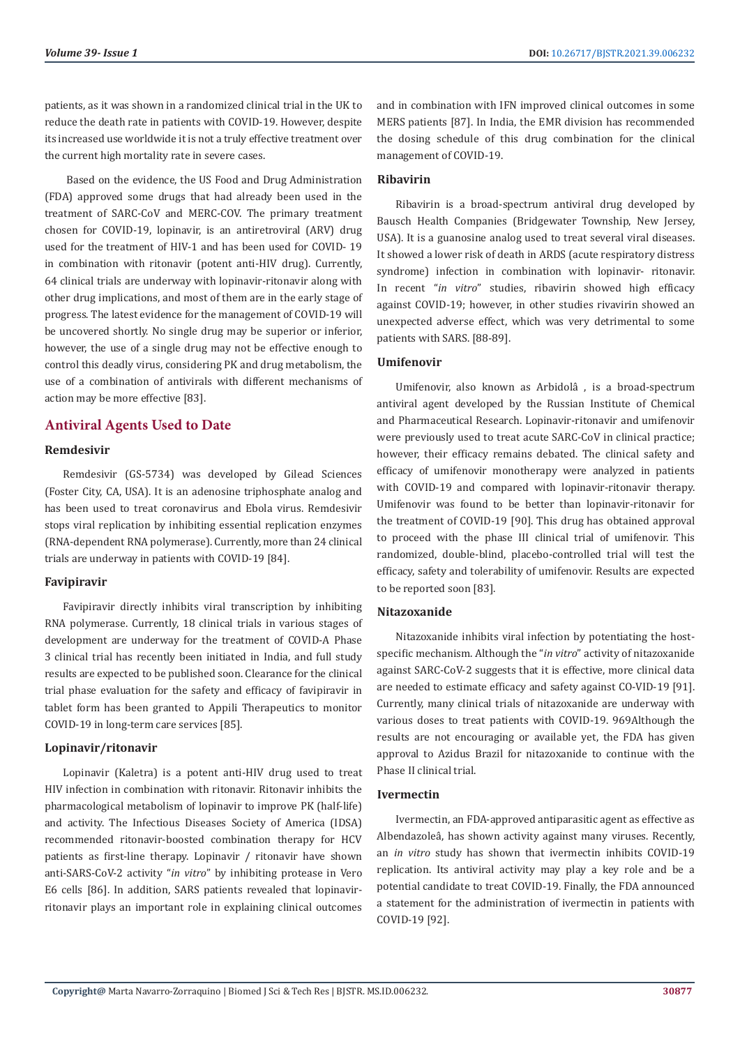patients, as it was shown in a randomized clinical trial in the UK to reduce the death rate in patients with COVID-19. However, despite its increased use worldwide it is not a truly effective treatment over the current high mortality rate in severe cases.

 Based on the evidence, the US Food and Drug Administration (FDA) approved some drugs that had already been used in the treatment of SARC-CoV and MERC-COV. The primary treatment chosen for COVID-19, lopinavir, is an antiretroviral (ARV) drug used for the treatment of HIV-1 and has been used for COVID- 19 in combination with ritonavir (potent anti-HIV drug). Currently, 64 clinical trials are underway with lopinavir-ritonavir along with other drug implications, and most of them are in the early stage of progress. The latest evidence for the management of COVID-19 will be uncovered shortly. No single drug may be superior or inferior, however, the use of a single drug may not be effective enough to control this deadly virus, considering PK and drug metabolism, the use of a combination of antivirals with different mechanisms of action may be more effective [83].

# **Antiviral Agents Used to Date**

#### **Remdesivir**

Remdesivir (GS-5734) was developed by Gilead Sciences (Foster City, CA, USA). It is an adenosine triphosphate analog and has been used to treat coronavirus and Ebola virus. Remdesivir stops viral replication by inhibiting essential replication enzymes (RNA-dependent RNA polymerase). Currently, more than 24 clinical trials are underway in patients with COVID-19 [84].

#### **Favipiravir**

Favipiravir directly inhibits viral transcription by inhibiting RNA polymerase. Currently, 18 clinical trials in various stages of development are underway for the treatment of COVID-A Phase 3 clinical trial has recently been initiated in India, and full study results are expected to be published soon. Clearance for the clinical trial phase evaluation for the safety and efficacy of favipiravir in tablet form has been granted to Appili Therapeutics to monitor COVID-19 in long-term care services [85].

#### **Lopinavir/ritonavir**

Lopinavir (Kaletra) is a potent anti-HIV drug used to treat HIV infection in combination with ritonavir. Ritonavir inhibits the pharmacological metabolism of lopinavir to improve PK (half-life) and activity. The Infectious Diseases Society of America (IDSA) recommended ritonavir-boosted combination therapy for HCV patients as first-line therapy. Lopinavir / ritonavir have shown anti-SARS-CoV-2 activity "*in vitro*" by inhibiting protease in Vero E6 cells [86]. In addition, SARS patients revealed that lopinavirritonavir plays an important role in explaining clinical outcomes

and in combination with IFN improved clinical outcomes in some MERS patients [87]. In India, the EMR division has recommended the dosing schedule of this drug combination for the clinical management of COVID-19.

#### **Ribavirin**

Ribavirin is a broad-spectrum antiviral drug developed by Bausch Health Companies (Bridgewater Township, New Jersey, USA). It is a guanosine analog used to treat several viral diseases. It showed a lower risk of death in ARDS (acute respiratory distress syndrome) infection in combination with lopinavir- ritonavir. In recent "*in vitro*" studies, ribavirin showed high efficacy against COVID-19; however, in other studies rivavirin showed an unexpected adverse effect, which was very detrimental to some patients with SARS. [88-89].

#### **Umifenovir**

Umifenovir, also known as Arbidolâ , is a broad-spectrum antiviral agent developed by the Russian Institute of Chemical and Pharmaceutical Research. Lopinavir-ritonavir and umifenovir were previously used to treat acute SARC-CoV in clinical practice; however, their efficacy remains debated. The clinical safety and efficacy of umifenovir monotherapy were analyzed in patients with COVID-19 and compared with lopinavir-ritonavir therapy. Umifenovir was found to be better than lopinavir-ritonavir for the treatment of COVID-19 [90]. This drug has obtained approval to proceed with the phase III clinical trial of umifenovir. This randomized, double-blind, placebo-controlled trial will test the efficacy, safety and tolerability of umifenovir. Results are expected to be reported soon [83].

#### **Nitazoxanide**

Nitazoxanide inhibits viral infection by potentiating the hostspecific mechanism. Although the "*in vitro*" activity of nitazoxanide against SARC-CoV-2 suggests that it is effective, more clinical data are needed to estimate efficacy and safety against CO-VID-19 [91]. Currently, many clinical trials of nitazoxanide are underway with various doses to treat patients with COVID-19. 969Although the results are not encouraging or available yet, the FDA has given approval to Azidus Brazil for nitazoxanide to continue with the Phase II clinical trial.

#### **Ivermectin**

Ivermectin, an FDA-approved antiparasitic agent as effective as Albendazoleâ, has shown activity against many viruses. Recently, an *in vitro* study has shown that ivermectin inhibits COVID-19 replication. Its antiviral activity may play a key role and be a potential candidate to treat COVID-19. Finally, the FDA announced a statement for the administration of ivermectin in patients with COVID-19 [92].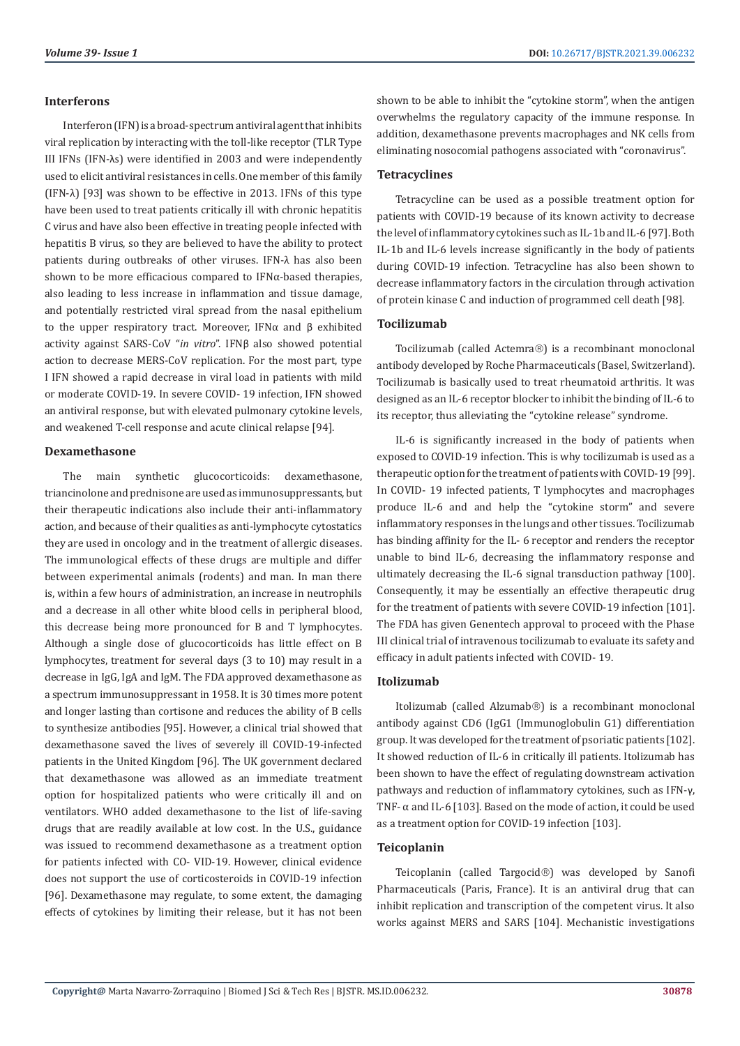#### **Interferons**

Interferon (IFN) is a broad-spectrum antiviral agent that inhibits viral replication by interacting with the toll-like receptor (TLR Type III IFNs (IFN-λs) were identified in 2003 and were independently used to elicit antiviral resistances in cells. One member of this family (IFN-λ) [93] was shown to be effective in 2013. IFNs of this type have been used to treat patients critically ill with chronic hepatitis C virus and have also been effective in treating people infected with hepatitis B virus, so they are believed to have the ability to protect patients during outbreaks of other viruses. IFN-λ has also been shown to be more efficacious compared to IFNα-based therapies, also leading to less increase in inflammation and tissue damage, and potentially restricted viral spread from the nasal epithelium to the upper respiratory tract. Moreover, IFNα and β exhibited activity against SARS-CoV "*in vitro*". IFNβ also showed potential action to decrease MERS-CoV replication. For the most part, type I IFN showed a rapid decrease in viral load in patients with mild or moderate COVID-19. In severe COVID- 19 infection, IFN showed an antiviral response, but with elevated pulmonary cytokine levels, and weakened T-cell response and acute clinical relapse [94].

#### **Dexamethasone**

The main synthetic glucocorticoids: dexamethasone, triancinolone and prednisone are used as immunosuppressants, but their therapeutic indications also include their anti-inflammatory action, and because of their qualities as anti-lymphocyte cytostatics they are used in oncology and in the treatment of allergic diseases. The immunological effects of these drugs are multiple and differ between experimental animals (rodents) and man. In man there is, within a few hours of administration, an increase in neutrophils and a decrease in all other white blood cells in peripheral blood, this decrease being more pronounced for B and T lymphocytes. Although a single dose of glucocorticoids has little effect on B lymphocytes, treatment for several days (3 to 10) may result in a decrease in IgG, IgA and IgM. The FDA approved dexamethasone as a spectrum immunosuppressant in 1958. It is 30 times more potent and longer lasting than cortisone and reduces the ability of B cells to synthesize antibodies [95]. However, a clinical trial showed that dexamethasone saved the lives of severely ill COVID-19-infected patients in the United Kingdom [96]. The UK government declared that dexamethasone was allowed as an immediate treatment option for hospitalized patients who were critically ill and on ventilators. WHO added dexamethasone to the list of life-saving drugs that are readily available at low cost. In the U.S., guidance was issued to recommend dexamethasone as a treatment option for patients infected with CO- VID-19. However, clinical evidence does not support the use of corticosteroids in COVID-19 infection [96]. Dexamethasone may regulate, to some extent, the damaging effects of cytokines by limiting their release, but it has not been shown to be able to inhibit the "cytokine storm", when the antigen overwhelms the regulatory capacity of the immune response. In addition, dexamethasone prevents macrophages and NK cells from eliminating nosocomial pathogens associated with "coronavirus".

#### **Tetracyclines**

Tetracycline can be used as a possible treatment option for patients with COVID-19 because of its known activity to decrease the level of inflammatory cytokines such as IL-1b and IL-6 [97]. Both IL-1b and IL-6 levels increase significantly in the body of patients during COVID-19 infection. Tetracycline has also been shown to decrease inflammatory factors in the circulation through activation of protein kinase C and induction of programmed cell death [98].

#### **Tocilizumab**

Tocilizumab (called Actemra®) is a recombinant monoclonal antibody developed by Roche Pharmaceuticals (Basel, Switzerland). Tocilizumab is basically used to treat rheumatoid arthritis. It was designed as an IL-6 receptor blocker to inhibit the binding of IL-6 to its receptor, thus alleviating the "cytokine release" syndrome.

IL-6 is significantly increased in the body of patients when exposed to COVID-19 infection. This is why tocilizumab is used as a therapeutic option for the treatment of patients with COVID-19 [99]. In COVID- 19 infected patients, T lymphocytes and macrophages produce IL-6 and and help the "cytokine storm" and severe inflammatory responses in the lungs and other tissues. Tocilizumab has binding affinity for the IL- 6 receptor and renders the receptor unable to bind IL-6, decreasing the inflammatory response and ultimately decreasing the IL-6 signal transduction pathway [100]. Consequently, it may be essentially an effective therapeutic drug for the treatment of patients with severe COVID-19 infection [101]. The FDA has given Genentech approval to proceed with the Phase III clinical trial of intravenous tocilizumab to evaluate its safety and efficacy in adult patients infected with COVID- 19.

#### **Itolizumab**

Itolizumab (called Alzumab®) is a recombinant monoclonal antibody against CD6 (IgG1 (Immunoglobulin G1) differentiation group. It was developed for the treatment of psoriatic patients [102]. It showed reduction of IL-6 in critically ill patients. Itolizumab has been shown to have the effect of regulating downstream activation pathways and reduction of inflammatory cytokines, such as IFN-γ, TNF- α and IL-6 [103]. Based on the mode of action, it could be used as a treatment option for COVID-19 infection [103].

#### **Teicoplanin**

Teicoplanin (called Targocid®) was developed by Sanofi Pharmaceuticals (Paris, France). It is an antiviral drug that can inhibit replication and transcription of the competent virus. It also works against MERS and SARS [104]. Mechanistic investigations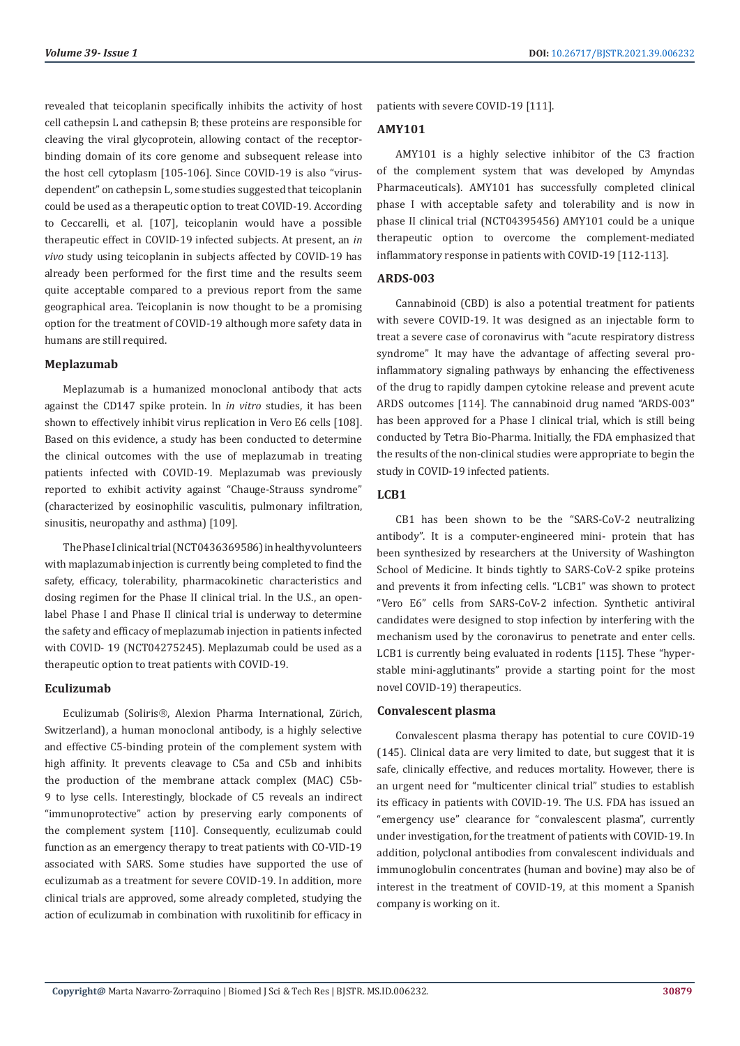revealed that teicoplanin specifically inhibits the activity of host cell cathepsin L and cathepsin B; these proteins are responsible for cleaving the viral glycoprotein, allowing contact of the receptorbinding domain of its core genome and subsequent release into the host cell cytoplasm [105-106]. Since COVID-19 is also "virusdependent" on cathepsin L, some studies suggested that teicoplanin could be used as a therapeutic option to treat COVID-19. According to Ceccarelli, et al. [107], teicoplanin would have a possible therapeutic effect in COVID-19 infected subjects. At present, an *in vivo* study using teicoplanin in subjects affected by COVID-19 has already been performed for the first time and the results seem quite acceptable compared to a previous report from the same geographical area. Teicoplanin is now thought to be a promising option for the treatment of COVID-19 although more safety data in humans are still required.

#### **Meplazumab**

Meplazumab is a humanized monoclonal antibody that acts against the CD147 spike protein. In *in vitro* studies, it has been shown to effectively inhibit virus replication in Vero E6 cells [108]. Based on this evidence, a study has been conducted to determine the clinical outcomes with the use of meplazumab in treating patients infected with COVID-19. Meplazumab was previously reported to exhibit activity against "Chauge-Strauss syndrome" (characterized by eosinophilic vasculitis, pulmonary infiltration, sinusitis, neuropathy and asthma) [109].

The Phase I clinical trial (NCT0436369586) in healthy volunteers with maplazumab injection is currently being completed to find the safety, efficacy, tolerability, pharmacokinetic characteristics and dosing regimen for the Phase II clinical trial. In the U.S., an openlabel Phase I and Phase II clinical trial is underway to determine the safety and efficacy of meplazumab injection in patients infected with COVID- 19 (NCT04275245). Meplazumab could be used as a therapeutic option to treat patients with COVID-19.

#### **Eculizumab**

Eculizumab (Soliris®, Alexion Pharma International, Zürich, Switzerland), a human monoclonal antibody, is a highly selective and effective C5-binding protein of the complement system with high affinity. It prevents cleavage to C5a and C5b and inhibits the production of the membrane attack complex (MAC) C5b-9 to lyse cells. Interestingly, blockade of C5 reveals an indirect "immunoprotective" action by preserving early components of the complement system [110]. Consequently, eculizumab could function as an emergency therapy to treat patients with CO-VID-19 associated with SARS. Some studies have supported the use of eculizumab as a treatment for severe COVID-19. In addition, more clinical trials are approved, some already completed, studying the action of eculizumab in combination with ruxolitinib for efficacy in

patients with severe COVID-19 [111].

#### **AMY101**

AMY101 is a highly selective inhibitor of the C3 fraction of the complement system that was developed by Amyndas Pharmaceuticals). AMY101 has successfully completed clinical phase I with acceptable safety and tolerability and is now in phase II clinical trial (NCT04395456) AMY101 could be a unique therapeutic option to overcome the complement-mediated inflammatory response in patients with COVID-19 [112-113].

#### **ARDS-003**

Cannabinoid (CBD) is also a potential treatment for patients with severe COVID-19. It was designed as an injectable form to treat a severe case of coronavirus with "acute respiratory distress syndrome" It may have the advantage of affecting several proinflammatory signaling pathways by enhancing the effectiveness of the drug to rapidly dampen cytokine release and prevent acute ARDS outcomes [114]. The cannabinoid drug named "ARDS-003" has been approved for a Phase I clinical trial, which is still being conducted by Tetra Bio-Pharma. Initially, the FDA emphasized that the results of the non-clinical studies were appropriate to begin the study in COVID-19 infected patients.

#### **LCB1**

CB1 has been shown to be the "SARS-CoV-2 neutralizing antibody". It is a computer-engineered mini- protein that has been synthesized by researchers at the University of Washington School of Medicine. It binds tightly to SARS-CoV-2 spike proteins and prevents it from infecting cells. "LCB1" was shown to protect "Vero E6" cells from SARS-CoV-2 infection. Synthetic antiviral candidates were designed to stop infection by interfering with the mechanism used by the coronavirus to penetrate and enter cells. LCB1 is currently being evaluated in rodents [115]. These "hyperstable mini-agglutinants" provide a starting point for the most novel COVID-19) therapeutics.

#### **Convalescent plasma**

Convalescent plasma therapy has potential to cure COVID-19 (145). Clinical data are very limited to date, but suggest that it is safe, clinically effective, and reduces mortality. However, there is an urgent need for "multicenter clinical trial" studies to establish its efficacy in patients with COVID-19. The U.S. FDA has issued an "emergency use" clearance for "convalescent plasma", currently under investigation, for the treatment of patients with COVID-19. In addition, polyclonal antibodies from convalescent individuals and immunoglobulin concentrates (human and bovine) may also be of interest in the treatment of COVID-19, at this moment a Spanish company is working on it.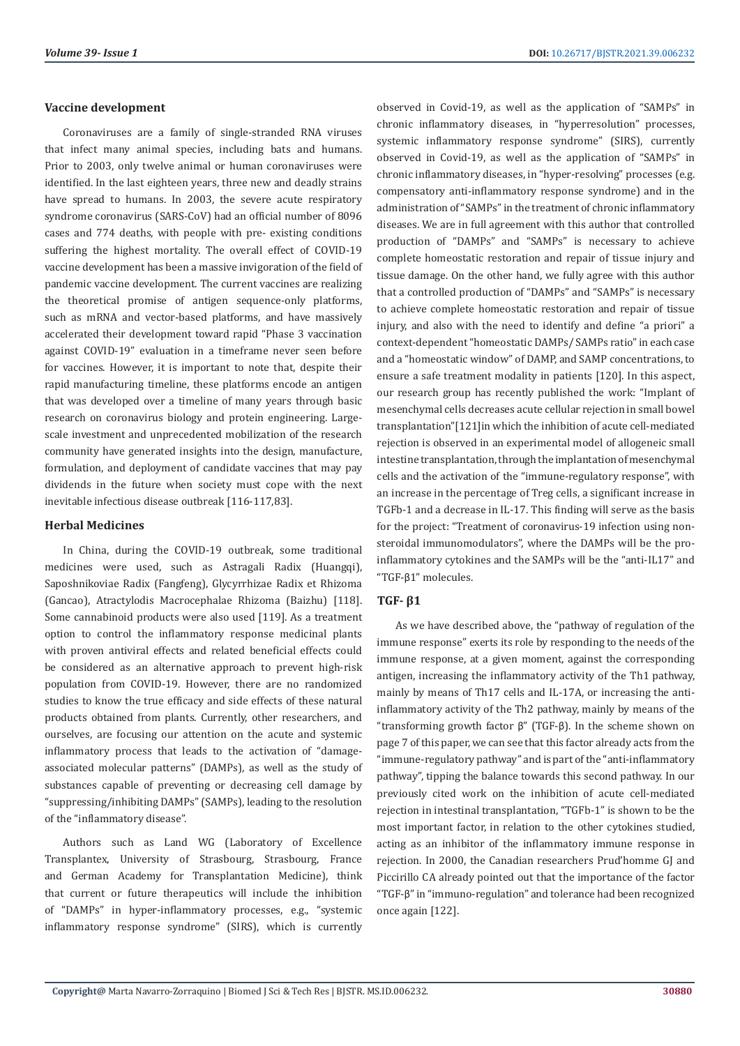#### **Vaccine development**

Coronaviruses are a family of single-stranded RNA viruses that infect many animal species, including bats and humans. Prior to 2003, only twelve animal or human coronaviruses were identified. In the last eighteen years, three new and deadly strains have spread to humans. In 2003, the severe acute respiratory syndrome coronavirus (SARS-CoV) had an official number of 8096 cases and 774 deaths, with people with pre- existing conditions suffering the highest mortality. The overall effect of COVID-19 vaccine development has been a massive invigoration of the field of pandemic vaccine development. The current vaccines are realizing the theoretical promise of antigen sequence-only platforms, such as mRNA and vector-based platforms, and have massively accelerated their development toward rapid "Phase 3 vaccination against COVID-19" evaluation in a timeframe never seen before for vaccines. However, it is important to note that, despite their rapid manufacturing timeline, these platforms encode an antigen that was developed over a timeline of many years through basic research on coronavirus biology and protein engineering. Largescale investment and unprecedented mobilization of the research community have generated insights into the design, manufacture, formulation, and deployment of candidate vaccines that may pay dividends in the future when society must cope with the next inevitable infectious disease outbreak [116-117,83].

#### **Herbal Medicines**

In China, during the COVID-19 outbreak, some traditional medicines were used, such as Astragali Radix (Huangqi), Saposhnikoviae Radix (Fangfeng), Glycyrrhizae Radix et Rhizoma (Gancao), Atractylodis Macrocephalae Rhizoma (Baizhu) [118]. Some cannabinoid products were also used [119]. As a treatment option to control the inflammatory response medicinal plants with proven antiviral effects and related beneficial effects could be considered as an alternative approach to prevent high-risk population from COVID-19. However, there are no randomized studies to know the true efficacy and side effects of these natural products obtained from plants. Currently, other researchers, and ourselves, are focusing our attention on the acute and systemic inflammatory process that leads to the activation of "damageassociated molecular patterns" (DAMPs), as well as the study of substances capable of preventing or decreasing cell damage by "suppressing/inhibiting DAMPs" (SAMPs), leading to the resolution of the "inflammatory disease".

Authors such as Land WG (Laboratory of Excellence Transplantex, University of Strasbourg, Strasbourg, France and German Academy for Transplantation Medicine), think that current or future therapeutics will include the inhibition of "DAMPs" in hyper-inflammatory processes, e.g., "systemic inflammatory response syndrome" (SIRS), which is currently

observed in Covid-19, as well as the application of "SAMPs" in chronic inflammatory diseases, in "hyperresolution" processes, systemic inflammatory response syndrome" (SIRS), currently observed in Covid-19, as well as the application of "SAMPs" in chronic inflammatory diseases, in "hyper-resolving" processes (e.g. compensatory anti-inflammatory response syndrome) and in the administration of "SAMPs" in the treatment of chronic inflammatory diseases. We are in full agreement with this author that controlled production of "DAMPs" and "SAMPs" is necessary to achieve complete homeostatic restoration and repair of tissue injury and tissue damage. On the other hand, we fully agree with this author that a controlled production of "DAMPs" and "SAMPs" is necessary to achieve complete homeostatic restoration and repair of tissue injury, and also with the need to identify and define "a priori" a context-dependent "homeostatic DAMPs/ SAMPs ratio" in each case and a "homeostatic window" of DAMP, and SAMP concentrations, to ensure a safe treatment modality in patients [120]. In this aspect, our research group has recently published the work: "Implant of mesenchymal cells decreases acute cellular rejection in small bowel transplantation"[121]in which the inhibition of acute cell-mediated rejection is observed in an experimental model of allogeneic small intestine transplantation, through the implantation of mesenchymal cells and the activation of the "immune-regulatory response", with an increase in the percentage of Treg cells, a significant increase in TGFb-1 and a decrease in IL-17. This finding will serve as the basis for the project: "Treatment of coronavirus-19 infection using nonsteroidal immunomodulators", where the DAMPs will be the proinflammatory cytokines and the SAMPs will be the "anti-IL17" and "TGF-β1" molecules.

### **TGF- β1**

As we have described above, the "pathway of regulation of the immune response" exerts its role by responding to the needs of the immune response, at a given moment, against the corresponding antigen, increasing the inflammatory activity of the Th1 pathway, mainly by means of Th17 cells and IL-17A, or increasing the antiinflammatory activity of the Th2 pathway, mainly by means of the "transforming growth factor  $β$ " (TGF- $β$ ). In the scheme shown on page 7 of this paper, we can see that this factor already acts from the "immune-regulatory pathway" and is part of the "anti-inflammatory pathway", tipping the balance towards this second pathway. In our previously cited work on the inhibition of acute cell-mediated rejection in intestinal transplantation, "TGFb-1" is shown to be the most important factor, in relation to the other cytokines studied, acting as an inhibitor of the inflammatory immune response in rejection. In 2000, the Canadian researchers Prud'homme GJ and Piccirillo CA already pointed out that the importance of the factor "TGF-β" in "immuno-regulation" and tolerance had been recognized once again [122].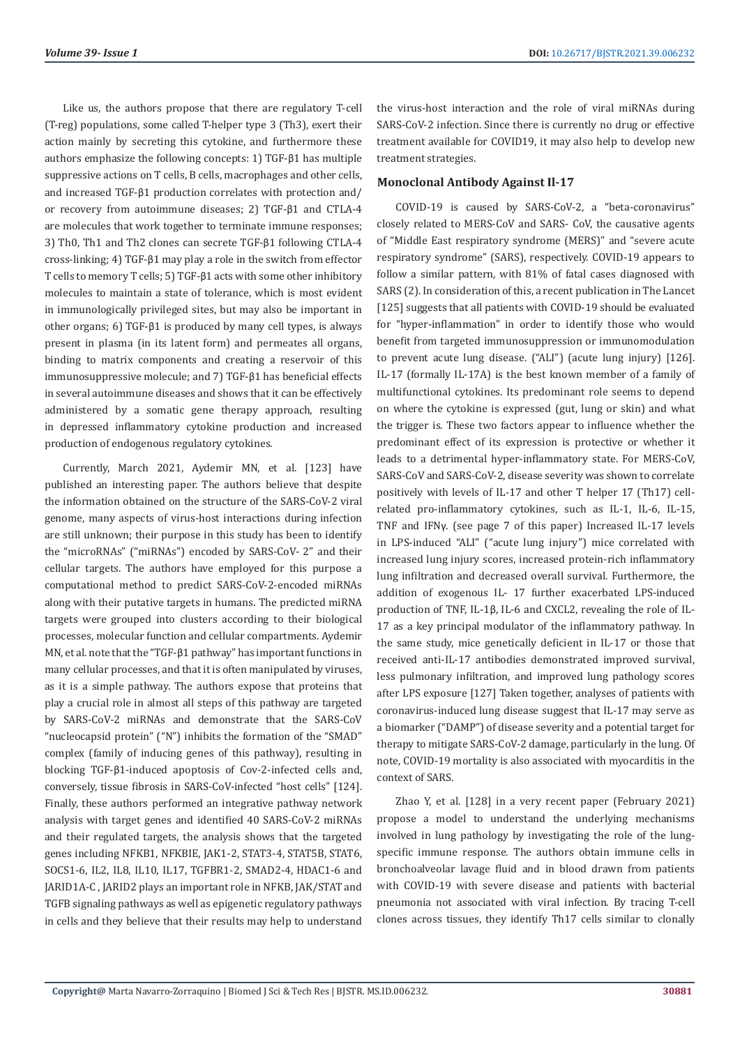Like us, the authors propose that there are regulatory T-cell (T-reg) populations, some called T-helper type 3 (Th3), exert their action mainly by secreting this cytokine, and furthermore these authors emphasize the following concepts: 1) TGF-β1 has multiple suppressive actions on T cells, B cells, macrophages and other cells, and increased TGF-β1 production correlates with protection and/ or recovery from autoimmune diseases; 2) TGF-β1 and CTLA-4 are molecules that work together to terminate immune responses; 3) Th0, Th1 and Th2 clones can secrete TGF-β1 following CTLA-4 cross-linking; 4) TGF-β1 may play a role in the switch from effector T cells to memory T cells; 5) TGF-β1 acts with some other inhibitory molecules to maintain a state of tolerance, which is most evident in immunologically privileged sites, but may also be important in other organs; 6) TGF-β1 is produced by many cell types, is always present in plasma (in its latent form) and permeates all organs, binding to matrix components and creating a reservoir of this immunosuppressive molecule; and 7) TGF-β1 has beneficial effects in several autoimmune diseases and shows that it can be effectively administered by a somatic gene therapy approach, resulting in depressed inflammatory cytokine production and increased production of endogenous regulatory cytokines.

Currently, March 2021, Aydemir MN, et al. [123] have published an interesting paper. The authors believe that despite the information obtained on the structure of the SARS-CoV-2 viral genome, many aspects of virus-host interactions during infection are still unknown; their purpose in this study has been to identify the "microRNAs" ("miRNAs") encoded by SARS-CoV- 2" and their cellular targets. The authors have employed for this purpose a computational method to predict SARS-CoV-2-encoded miRNAs along with their putative targets in humans. The predicted miRNA targets were grouped into clusters according to their biological processes, molecular function and cellular compartments. Aydemir MN, et al. note that the "TGF-β1 pathway" has important functions in many cellular processes, and that it is often manipulated by viruses, as it is a simple pathway. The authors expose that proteins that play a crucial role in almost all steps of this pathway are targeted by SARS-CoV-2 miRNAs and demonstrate that the SARS-CoV "nucleocapsid protein" ("N") inhibits the formation of the "SMAD" complex (family of inducing genes of this pathway), resulting in blocking TGF-β1-induced apoptosis of Cov-2-infected cells and, conversely, tissue fibrosis in SARS-CoV-infected "host cells" [124]. Finally, these authors performed an integrative pathway network analysis with target genes and identified 40 SARS-CoV-2 miRNAs and their regulated targets, the analysis shows that the targeted genes including NFKB1, NFKBIE, JAK1-2, STAT3-4, STAT5B, STAT6, SOCS1-6, IL2, IL8, IL10, IL17, TGFBR1-2, SMAD2-4, HDAC1-6 and JARID1A-C , JARID2 plays an important role in NFKB, JAK/STAT and TGFB signaling pathways as well as epigenetic regulatory pathways in cells and they believe that their results may help to understand

the virus-host interaction and the role of viral miRNAs during SARS-CoV-2 infection. Since there is currently no drug or effective treatment available for COVID19, it may also help to develop new treatment strategies.

#### **Monoclonal Antibody Against Il-17**

COVID-19 is caused by SARS-CoV-2, a "beta-coronavirus" closely related to MERS-CoV and SARS- CoV, the causative agents of "Middle East respiratory syndrome (MERS)" and "severe acute respiratory syndrome" (SARS), respectively. COVID-19 appears to follow a similar pattern, with 81% of fatal cases diagnosed with SARS (2). In consideration of this, a recent publication in The Lancet [125] suggests that all patients with COVID-19 should be evaluated for "hyper-inflammation" in order to identify those who would benefit from targeted immunosuppression or immunomodulation to prevent acute lung disease. ("ALI") (acute lung injury) [126]. IL-17 (formally IL-17A) is the best known member of a family of multifunctional cytokines. Its predominant role seems to depend on where the cytokine is expressed (gut, lung or skin) and what the trigger is. These two factors appear to influence whether the predominant effect of its expression is protective or whether it leads to a detrimental hyper-inflammatory state. For MERS-CoV, SARS-CoV and SARS-CoV-2, disease severity was shown to correlate positively with levels of IL-17 and other T helper 17 (Th17) cellrelated pro-inflammatory cytokines, such as IL-1, IL-6, IL-15, TNF and IFNγ. (see page 7 of this paper) Increased IL-17 levels in LPS-induced "ALI" ("acute lung injury") mice correlated with increased lung injury scores, increased protein-rich inflammatory lung infiltration and decreased overall survival. Furthermore, the addition of exogenous IL- 17 further exacerbated LPS-induced production of TNF, IL-1β, IL-6 and CXCL2, revealing the role of IL-17 as a key principal modulator of the inflammatory pathway. In the same study, mice genetically deficient in IL-17 or those that received anti-IL-17 antibodies demonstrated improved survival, less pulmonary infiltration, and improved lung pathology scores after LPS exposure [127] Taken together, analyses of patients with coronavirus-induced lung disease suggest that IL-17 may serve as a biomarker ("DAMP") of disease severity and a potential target for therapy to mitigate SARS-CoV-2 damage, particularly in the lung. Of note, COVID-19 mortality is also associated with myocarditis in the context of SARS.

Zhao Y, et al. [128] in a very recent paper (February 2021) propose a model to understand the underlying mechanisms involved in lung pathology by investigating the role of the lungspecific immune response. The authors obtain immune cells in bronchoalveolar lavage fluid and in blood drawn from patients with COVID-19 with severe disease and patients with bacterial pneumonia not associated with viral infection. By tracing T-cell clones across tissues, they identify Th17 cells similar to clonally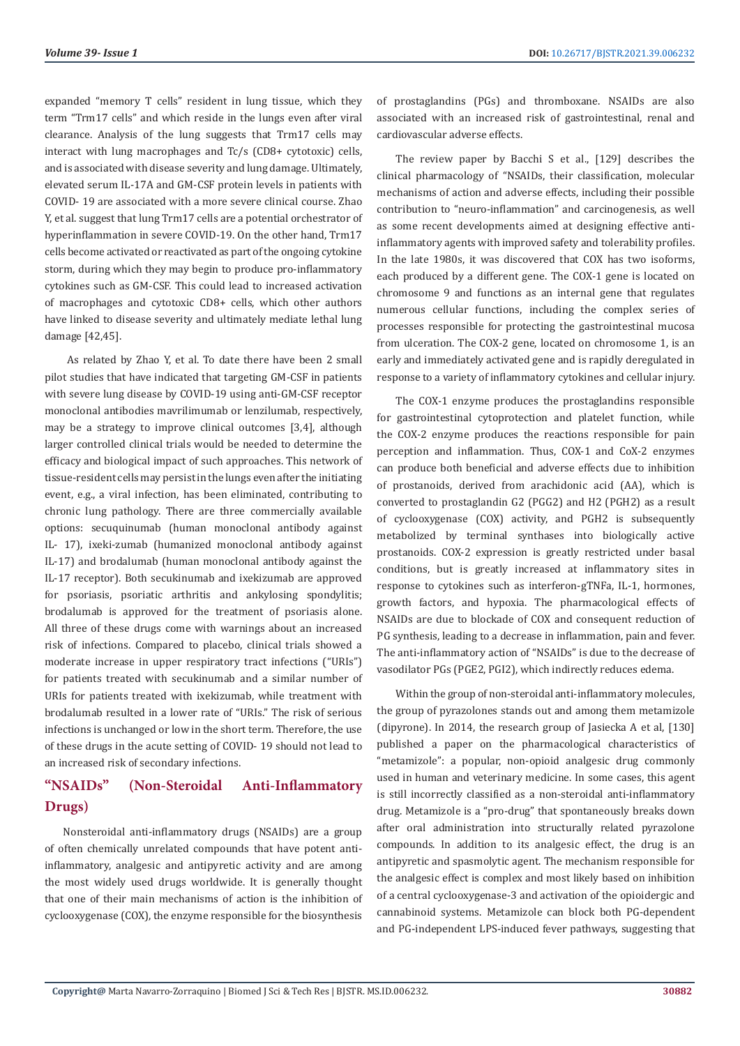expanded "memory T cells" resident in lung tissue, which they term "Trm17 cells" and which reside in the lungs even after viral clearance. Analysis of the lung suggests that Trm17 cells may interact with lung macrophages and Tc/s (CD8+ cytotoxic) cells, and is associated with disease severity and lung damage. Ultimately, elevated serum IL-17A and GM-CSF protein levels in patients with COVID- 19 are associated with a more severe clinical course. Zhao Y, et al. suggest that lung Trm17 cells are a potential orchestrator of hyperinflammation in severe COVID-19. On the other hand, Trm17 cells become activated or reactivated as part of the ongoing cytokine storm, during which they may begin to produce pro-inflammatory cytokines such as GM-CSF. This could lead to increased activation of macrophages and cytotoxic CD8+ cells, which other authors have linked to disease severity and ultimately mediate lethal lung damage [42,45].

 As related by Zhao Y, et al. To date there have been 2 small pilot studies that have indicated that targeting GM-CSF in patients with severe lung disease by COVID-19 using anti-GM-CSF receptor monoclonal antibodies mavrilimumab or lenzilumab, respectively, may be a strategy to improve clinical outcomes [3,4], although larger controlled clinical trials would be needed to determine the efficacy and biological impact of such approaches. This network of tissue-resident cells may persist in the lungs even after the initiating event, e.g., a viral infection, has been eliminated, contributing to chronic lung pathology. There are three commercially available options: secuquinumab (human monoclonal antibody against IL- 17), ixeki-zumab (humanized monoclonal antibody against IL-17) and brodalumab (human monoclonal antibody against the IL-17 receptor). Both secukinumab and ixekizumab are approved for psoriasis, psoriatic arthritis and ankylosing spondylitis; brodalumab is approved for the treatment of psoriasis alone. All three of these drugs come with warnings about an increased risk of infections. Compared to placebo, clinical trials showed a moderate increase in upper respiratory tract infections ("URIs") for patients treated with secukinumab and a similar number of URIs for patients treated with ixekizumab, while treatment with brodalumab resulted in a lower rate of "URIs." The risk of serious infections is unchanged or low in the short term. Therefore, the use of these drugs in the acute setting of COVID- 19 should not lead to an increased risk of secondary infections.

# **"NSAIDs" (Non-Steroidal Anti-Inflammatory Drugs)**

Nonsteroidal anti-inflammatory drugs (NSAIDs) are a group of often chemically unrelated compounds that have potent antiinflammatory, analgesic and antipyretic activity and are among the most widely used drugs worldwide. It is generally thought that one of their main mechanisms of action is the inhibition of cyclooxygenase (COX), the enzyme responsible for the biosynthesis

of prostaglandins (PGs) and thromboxane. NSAIDs are also associated with an increased risk of gastrointestinal, renal and cardiovascular adverse effects.

The review paper by Bacchi S et al., [129] describes the clinical pharmacology of "NSAIDs, their classification, molecular mechanisms of action and adverse effects, including their possible contribution to "neuro-inflammation" and carcinogenesis, as well as some recent developments aimed at designing effective antiinflammatory agents with improved safety and tolerability profiles. In the late 1980s, it was discovered that COX has two isoforms, each produced by a different gene. The COX-1 gene is located on chromosome 9 and functions as an internal gene that regulates numerous cellular functions, including the complex series of processes responsible for protecting the gastrointestinal mucosa from ulceration. The COX-2 gene, located on chromosome 1, is an early and immediately activated gene and is rapidly deregulated in response to a variety of inflammatory cytokines and cellular injury.

The COX-1 enzyme produces the prostaglandins responsible for gastrointestinal cytoprotection and platelet function, while the COX-2 enzyme produces the reactions responsible for pain perception and inflammation. Thus, COX-1 and CoX-2 enzymes can produce both beneficial and adverse effects due to inhibition of prostanoids, derived from arachidonic acid (AA), which is converted to prostaglandin G2 (PGG2) and H2 (PGH2) as a result of cyclooxygenase (COX) activity, and PGH2 is subsequently metabolized by terminal synthases into biologically active prostanoids. COX-2 expression is greatly restricted under basal conditions, but is greatly increased at inflammatory sites in response to cytokines such as interferon-gTNFa, IL-1, hormones, growth factors, and hypoxia. The pharmacological effects of NSAIDs are due to blockade of COX and consequent reduction of PG synthesis, leading to a decrease in inflammation, pain and fever. The anti-inflammatory action of "NSAIDs" is due to the decrease of vasodilator PGs (PGE2, PGI2), which indirectly reduces edema.

Within the group of non-steroidal anti-inflammatory molecules, the group of pyrazolones stands out and among them metamizole (dipyrone). In 2014, the research group of Jasiecka A et al, [130] published a paper on the pharmacological characteristics of "metamizole": a popular, non-opioid analgesic drug commonly used in human and veterinary medicine. In some cases, this agent is still incorrectly classified as a non-steroidal anti-inflammatory drug. Metamizole is a "pro-drug" that spontaneously breaks down after oral administration into structurally related pyrazolone compounds. In addition to its analgesic effect, the drug is an antipyretic and spasmolytic agent. The mechanism responsible for the analgesic effect is complex and most likely based on inhibition of a central cyclooxygenase-3 and activation of the opioidergic and cannabinoid systems. Metamizole can block both PG-dependent and PG-independent LPS-induced fever pathways, suggesting that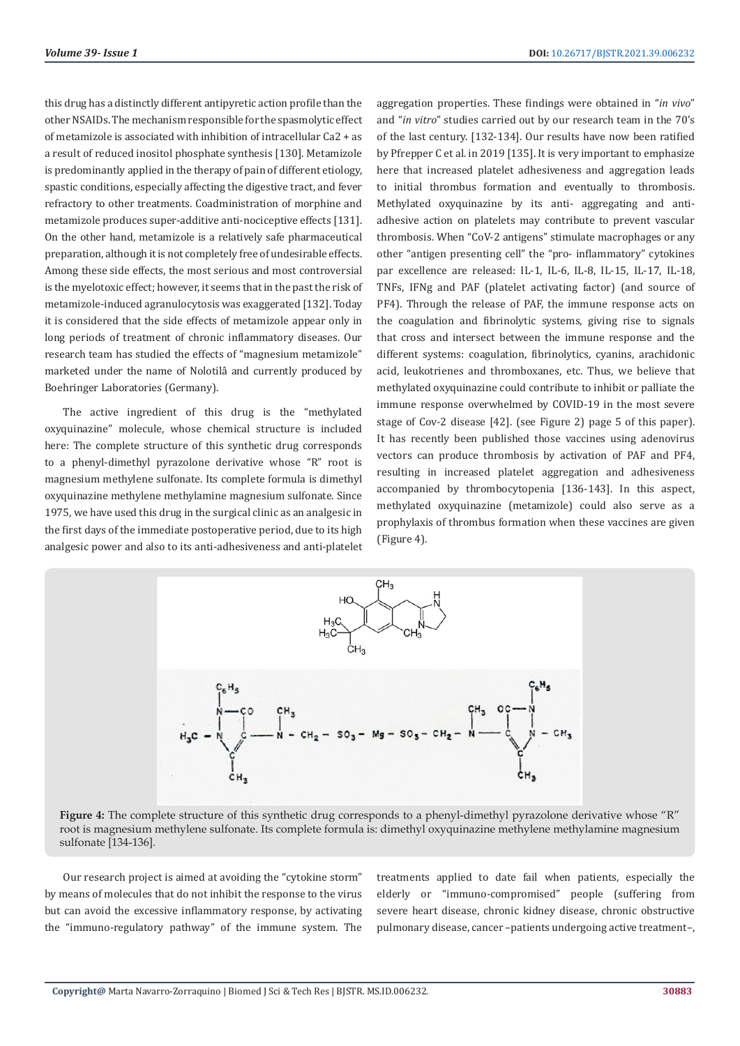this drug has a distinctly different antipyretic action profile than the other NSAIDs. The mechanism responsible for the spasmolytic effect of metamizole is associated with inhibition of intracellular Ca2 + as a result of reduced inositol phosphate synthesis [130]. Metamizole is predominantly applied in the therapy of pain of different etiology, spastic conditions, especially affecting the digestive tract, and fever refractory to other treatments. Coadministration of morphine and metamizole produces super-additive anti-nociceptive effects [131]. On the other hand, metamizole is a relatively safe pharmaceutical preparation, although it is not completely free of undesirable effects. Among these side effects, the most serious and most controversial is the myelotoxic effect; however, it seems that in the past the risk of metamizole-induced agranulocytosis was exaggerated [132]. Today it is considered that the side effects of metamizole appear only in long periods of treatment of chronic inflammatory diseases. Our research team has studied the effects of "magnesium metamizole" marketed under the name of Nolotilâ and currently produced by Boehringer Laboratories (Germany).

The active ingredient of this drug is the "methylated oxyquinazine" molecule, whose chemical structure is included here: The complete structure of this synthetic drug corresponds to a phenyl-dimethyl pyrazolone derivative whose "R" root is magnesium methylene sulfonate. Its complete formula is dimethyl oxyquinazine methylene methylamine magnesium sulfonate. Since 1975, we have used this drug in the surgical clinic as an analgesic in the first days of the immediate postoperative period, due to its high analgesic power and also to its anti-adhesiveness and anti-platelet aggregation properties. These findings were obtained in "*in vivo*" and "*in vitro*" studies carried out by our research team in the 70's of the last century. [132-134]. Our results have now been ratified by Pfrepper C et al. in 2019 [135]. It is very important to emphasize here that increased platelet adhesiveness and aggregation leads to initial thrombus formation and eventually to thrombosis. Methylated oxyquinazine by its anti- aggregating and antiadhesive action on platelets may contribute to prevent vascular thrombosis. When "CoV-2 antigens" stimulate macrophages or any other "antigen presenting cell" the "pro- inflammatory" cytokines par excellence are released: IL-1, IL-6, IL-8, IL-15, IL-17, IL-18, TNFs, IFNg and PAF (platelet activating factor) (and source of PF4). Through the release of PAF, the immune response acts on the coagulation and fibrinolytic systems, giving rise to signals that cross and intersect between the immune response and the different systems: coagulation, fibrinolytics, cyanins, arachidonic acid, leukotrienes and thromboxanes, etc. Thus, we believe that methylated oxyquinazine could contribute to inhibit or palliate the immune response overwhelmed by COVID-19 in the most severe stage of Cov-2 disease [42]. (see Figure 2) page 5 of this paper). It has recently been published those vaccines using adenovirus vectors can produce thrombosis by activation of PAF and PF4, resulting in increased platelet aggregation and adhesiveness accompanied by thrombocytopenia [136-143]. In this aspect, methylated oxyquinazine (metamizole) could also serve as a prophylaxis of thrombus formation when these vaccines are given (Figure 4).



**Figure 4:** The complete structure of this synthetic drug corresponds to a phenyl-dimethyl pyrazolone derivative whose "R" root is magnesium methylene sulfonate. Its complete formula is: dimethyl oxyquinazine methylene methylamine magnesium sulfonate [134-136].

Our research project is aimed at avoiding the "cytokine storm" by means of molecules that do not inhibit the response to the virus but can avoid the excessive inflammatory response, by activating the "immuno-regulatory pathway" of the immune system. The treatments applied to date fail when patients, especially the elderly or "immuno-compromised" people (suffering from severe heart disease, chronic kidney disease, chronic obstructive pulmonary disease, cancer –patients undergoing active treatment–,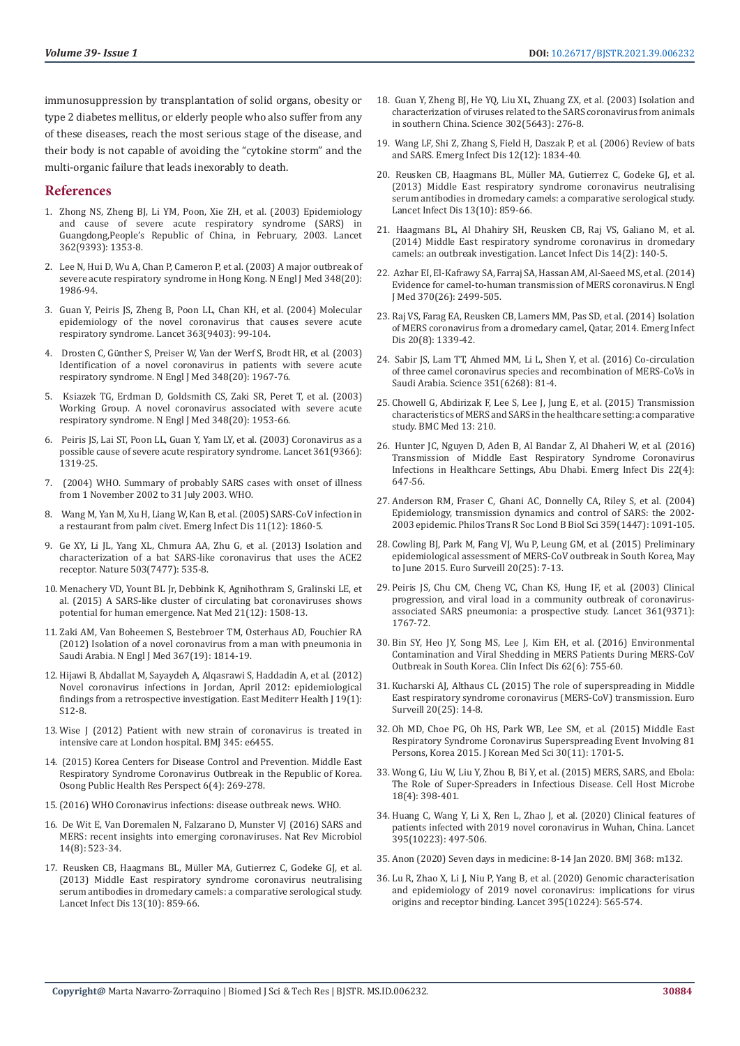immunosuppression by transplantation of solid organs, obesity or type 2 diabetes mellitus, or elderly people who also suffer from any of these diseases, reach the most serious stage of the disease, and their body is not capable of avoiding the "cytokine storm" and the multi-organic failure that leads inexorably to death.

#### **References**

- 1. [Zhong NS, Zheng BJ, Li YM, Poon, Xie ZH, et al. \(2003\) Epidemiology](https://pubmed.ncbi.nlm.nih.gov/14585636/)  [and cause of severe acute respiratory syndrome \(SARS\) in](https://pubmed.ncbi.nlm.nih.gov/14585636/)  [Guangdong,People's Republic of China, in February, 2003. Lancet](https://pubmed.ncbi.nlm.nih.gov/14585636/)  [362\(9393\): 1353-8.](https://pubmed.ncbi.nlm.nih.gov/14585636/)
- 2. [Lee N, Hui D, Wu A, Chan P, Cameron P, et al. \(2003\) A major outbreak of](https://pubmed.ncbi.nlm.nih.gov/12682352/)  [severe acute respiratory syndrome in Hong Kong. N Engl J Med 348\(20\):](https://pubmed.ncbi.nlm.nih.gov/12682352/)  [1986-94.](https://pubmed.ncbi.nlm.nih.gov/12682352/)
- 3. [Guan Y, Peiris JS, Zheng B, Poon LL, Chan KH, et al. \(2004\) Molecular](https://pubmed.ncbi.nlm.nih.gov/14726162/)  [epidemiology of the novel coronavirus that causes severe acute](https://pubmed.ncbi.nlm.nih.gov/14726162/)  [respiratory syndrome. Lancet 363\(9403\): 99-104.](https://pubmed.ncbi.nlm.nih.gov/14726162/)
- 4. Drosten C, Gü[nther S, Preiser W, Van der Werf S, Brodt HR, et al. \(2003\)](https://pubmed.ncbi.nlm.nih.gov/12690091/)  [Identification of a novel coronavirus in patients with severe acute](https://pubmed.ncbi.nlm.nih.gov/12690091/)  [respiratory syndrome. N Engl J Med 348\(20\): 1967-76.](https://pubmed.ncbi.nlm.nih.gov/12690091/)
- 5. [Ksiazek TG, Erdman D, Goldsmith CS, Zaki SR, Peret T, et al. \(2003\)](https://pubmed.ncbi.nlm.nih.gov/12690092/)  [Working Group. A novel coronavirus associated with severe acute](https://pubmed.ncbi.nlm.nih.gov/12690092/)  [respiratory syndrome. N Engl J Med 348\(20\): 1953-66.](https://pubmed.ncbi.nlm.nih.gov/12690092/)
- 6. [Peiris JS, Lai ST, Poon LL, Guan Y, Yam LY, et al. \(2003\) Coronavirus as a](https://pubmed.ncbi.nlm.nih.gov/12711465/)  [possible cause of severe acute respiratory syndrome. Lancet 361\(9366\):](https://pubmed.ncbi.nlm.nih.gov/12711465/)  [1319-25.](https://pubmed.ncbi.nlm.nih.gov/12711465/)
- 7. (2004) WHO. Summary of probably SARS cases with onset of illness from 1 November 2002 to 31 July 2003. WHO.
- 8. [Wang M, Yan M, Xu H, Liang W, Kan B, et al. \(2005\) SARS-CoV infection in](https://pubmed.ncbi.nlm.nih.gov/16485471/)  [a restaurant from palm civet. Emerg Infect Dis 11\(12\): 1860-5.](https://pubmed.ncbi.nlm.nih.gov/16485471/)
- 9. [Ge XY, Li JL, Yang XL, Chmura AA, Zhu G, et al. \(2013\) Isolation and](https://pubmed.ncbi.nlm.nih.gov/24172901/)  [characterization of a bat SARS-like coronavirus that uses the ACE2](https://pubmed.ncbi.nlm.nih.gov/24172901/)  [receptor. Nature 503\(7477\): 535-8.](https://pubmed.ncbi.nlm.nih.gov/24172901/)
- 10. [Menachery VD, Yount BL Jr, Debbink K, Agnihothram S, Gralinski LE, et](https://pubmed.ncbi.nlm.nih.gov/26552008/)  [al. \(2015\) A SARS-like cluster of circulating bat coronaviruses shows](https://pubmed.ncbi.nlm.nih.gov/26552008/)  [potential for human emergence. Nat Med 21\(12\): 1508-13.](https://pubmed.ncbi.nlm.nih.gov/26552008/)
- 11. [Zaki AM, Van Boheemen S, Bestebroer TM, Osterhaus AD, Fouchier RA](https://pubmed.ncbi.nlm.nih.gov/23075143/)  [\(2012\) Isolation of a novel coronavirus from a man with pneumonia in](https://pubmed.ncbi.nlm.nih.gov/23075143/)  [Saudi Arabia. N Engl J Med 367\(19\): 1814-19.](https://pubmed.ncbi.nlm.nih.gov/23075143/)
- 12. [Hijawi B, Abdallat M, Sayaydeh A, Alqasrawi S, Haddadin A, et al. \(2012\)](https://pubmed.ncbi.nlm.nih.gov/23888790/)  [Novel coronavirus infections in Jordan, April 2012: epidemiological](https://pubmed.ncbi.nlm.nih.gov/23888790/)  [findings from a retrospective investigation. East Mediterr Health J 19\(1\):](https://pubmed.ncbi.nlm.nih.gov/23888790/)  [S12-8.](https://pubmed.ncbi.nlm.nih.gov/23888790/)
- 13. [Wise J \(2012\) Patient with new strain of coronavirus is treated in](https://pubmed.ncbi.nlm.nih.gov/23008211/)  [intensive care at London hospital. BMJ 345: e6455.](https://pubmed.ncbi.nlm.nih.gov/23008211/)
- 14. [\(2015\) Korea Centers for Disease Control and Prevention. Middle East](https://pubmed.ncbi.nlm.nih.gov/26473095/)  [Respiratory Syndrome Coronavirus Outbreak in the Republic of Korea.](https://pubmed.ncbi.nlm.nih.gov/26473095/)  [Osong Public Health Res Perspect 6\(4\): 269-278.](https://pubmed.ncbi.nlm.nih.gov/26473095/)
- 15.(2016) WHO Coronavirus infections: disease outbreak news. WHO.
- 16. [De Wit E, Van Doremalen N, Falzarano D, Munster VJ \(2016\) SARS and](https://pubmed.ncbi.nlm.nih.gov/27344959/)  [MERS: recent insights into emerging coronaviruses. Nat Rev Microbiol](https://pubmed.ncbi.nlm.nih.gov/27344959/)  [14\(8\): 523-34.](https://pubmed.ncbi.nlm.nih.gov/27344959/)
- 17. Reusken CB, Haagmans BL, Mü[ller MA, Gutierrez C, Godeke GJ, et al.](https://pubmed.ncbi.nlm.nih.gov/23933067/)  [\(2013\) Middle East respiratory syndrome coronavirus neutralising](https://pubmed.ncbi.nlm.nih.gov/23933067/)  [serum antibodies in dromedary camels: a comparative serological study.](https://pubmed.ncbi.nlm.nih.gov/23933067/)  [Lancet Infect Dis 13\(10\): 859-66.](https://pubmed.ncbi.nlm.nih.gov/23933067/)
- 18. [Guan Y, Zheng BJ, He YQ, Liu XL, Zhuang ZX, et al. \(2003\) Isolation and](https://pubmed.ncbi.nlm.nih.gov/12958366/) [characterization of viruses related to the SARS coronavirus from animals](https://pubmed.ncbi.nlm.nih.gov/12958366/) [in southern China. Science 302\(5643\): 276-8.](https://pubmed.ncbi.nlm.nih.gov/12958366/)
- 19. [Wang LF, Shi Z, Zhang S, Field H, Daszak P, et al. \(2006\) Review of bats](https://pubmed.ncbi.nlm.nih.gov/17326933/) [and SARS. Emerg Infect Dis 12\(12\): 1834-40.](https://pubmed.ncbi.nlm.nih.gov/17326933/)
- 20. Reusken CB, Haagmans BL, Mü[ller MA, Gutierrez C, Godeke GJ, et al.](https://pubmed.ncbi.nlm.nih.gov/23933067/) [\(2013\) Middle East respiratory syndrome coronavirus neutralising](https://pubmed.ncbi.nlm.nih.gov/23933067/) [serum antibodies in dromedary camels: a comparative serological study.](https://pubmed.ncbi.nlm.nih.gov/23933067/) [Lancet Infect Dis 13\(10\): 859-66.](https://pubmed.ncbi.nlm.nih.gov/23933067/)
- 21. [Haagmans BL, Al Dhahiry SH, Reusken CB, Raj VS, Galiano M, et al.](https://pubmed.ncbi.nlm.nih.gov/24355866/) [\(2014\) Middle East respiratory syndrome coronavirus in dromedary](https://pubmed.ncbi.nlm.nih.gov/24355866/) [camels: an outbreak investigation. Lancet Infect Dis 14\(2\): 140-5.](https://pubmed.ncbi.nlm.nih.gov/24355866/)
- 22. [Azhar EI, El-Kafrawy SA, Farraj SA, Hassan AM, Al-Saeed MS, et al. \(2014\)](https://pubmed.ncbi.nlm.nih.gov/24896817/) [Evidence for camel-to-human transmission of MERS coronavirus. N Engl](https://pubmed.ncbi.nlm.nih.gov/24896817/) [J Med 370\(26\): 2499-505.](https://pubmed.ncbi.nlm.nih.gov/24896817/)
- 23. [Raj VS, Farag EA, Reusken CB, Lamers MM, Pas SD, et al. \(2014\) Isolation](https://www.ncbi.nlm.nih.gov/labs/pmc/articles/PMC4111206/) [of MERS coronavirus from a dromedary camel, Qatar, 2014. Emerg Infect](https://www.ncbi.nlm.nih.gov/labs/pmc/articles/PMC4111206/) [Dis 20\(8\): 1339-42](https://www.ncbi.nlm.nih.gov/labs/pmc/articles/PMC4111206/).
- 24. [Sabir JS, Lam TT, Ahmed MM, Li L, Shen Y, et al. \(2016\) Co-circulation](https://pubmed.ncbi.nlm.nih.gov/26678874/) [of three camel coronavirus species and recombination of MERS-CoVs in](https://pubmed.ncbi.nlm.nih.gov/26678874/) [Saudi Arabia. Science 351\(6268\): 81-4.](https://pubmed.ncbi.nlm.nih.gov/26678874/)
- 25. [Chowell G, Abdirizak F, Lee S, Lee J, Jung E, et al. \(2015\) Transmission](https://pubmed.ncbi.nlm.nih.gov/26336062/) [characteristics of MERS and SARS in the healthcare setting: a comparative](https://pubmed.ncbi.nlm.nih.gov/26336062/) [study. BMC Med 13: 210.](https://pubmed.ncbi.nlm.nih.gov/26336062/)
- 26. [Hunter JC, Nguyen D, Aden B, Al Bandar Z, Al Dhaheri W, et al. \(2016\)](https://pubmed.ncbi.nlm.nih.gov/26981708/) [Transmission of Middle East Respiratory Syndrome Coronavirus](https://pubmed.ncbi.nlm.nih.gov/26981708/) [Infections in Healthcare Settings, Abu Dhabi. Emerg Infect Dis 22\(4\):](https://pubmed.ncbi.nlm.nih.gov/26981708/) [647-56.](https://pubmed.ncbi.nlm.nih.gov/26981708/)
- 27. [Anderson RM, Fraser C, Ghani AC, Donnelly CA, Riley S, et al. \(2004\)](https://pubmed.ncbi.nlm.nih.gov/15306395/) [Epidemiology, transmission dynamics and control of SARS: the 2002-](https://pubmed.ncbi.nlm.nih.gov/15306395/) [2003 epidemic. Philos Trans R Soc Lond B Biol Sci 359\(1447\): 1091-105.](https://pubmed.ncbi.nlm.nih.gov/15306395/)
- 28. [Cowling BJ, Park M, Fang VJ, Wu P, Leung GM, et al. \(2015\) Preliminary](https://pubmed.ncbi.nlm.nih.gov/26132767/) [epidemiological assessment of MERS-CoV outbreak in South Korea, May](https://pubmed.ncbi.nlm.nih.gov/26132767/) [to June 2015. Euro Surveill 20\(25\): 7-13.](https://pubmed.ncbi.nlm.nih.gov/26132767/)
- 29. [Peiris JS, Chu CM, Cheng VC, Chan KS, Hung IF, et al. \(2003\) Clinical](https://pubmed.ncbi.nlm.nih.gov/12781535/) [progression, and viral load in a community outbreak of coronavirus](https://pubmed.ncbi.nlm.nih.gov/12781535/)[associated SARS pneumonia: a prospective study. Lancet 361\(9371\):](https://pubmed.ncbi.nlm.nih.gov/12781535/) [1767-72.](https://pubmed.ncbi.nlm.nih.gov/12781535/)
- 30. [Bin SY, Heo JY, Song MS, Lee J, Kim EH, et al. \(2016\) Environmental](https://pubmed.ncbi.nlm.nih.gov/26679623/) [Contamination and Viral Shedding in MERS Patients During MERS-CoV](https://pubmed.ncbi.nlm.nih.gov/26679623/) [Outbreak in South Korea. Clin Infect Dis 62\(6\): 755-60.](https://pubmed.ncbi.nlm.nih.gov/26679623/)
- 31. [Kucharski AJ, Althaus CL \(2015\) The role of superspreading in Middle](https://pubmed.ncbi.nlm.nih.gov/26132768/) [East respiratory syndrome coronavirus \(MERS-CoV\) transmission. Euro](https://pubmed.ncbi.nlm.nih.gov/26132768/) [Surveill 20\(25\): 14-8.](https://pubmed.ncbi.nlm.nih.gov/26132768/)
- 32. [Oh MD, Choe PG, Oh HS, Park WB, Lee SM, et al. \(2015\) Middle East](https://pubmed.ncbi.nlm.nih.gov/26539018/) [Respiratory Syndrome Coronavirus Superspreading Event Involving 81](https://pubmed.ncbi.nlm.nih.gov/26539018/) [Persons, Korea 2015. J Korean Med Sci 30\(11\): 1701-5.](https://pubmed.ncbi.nlm.nih.gov/26539018/)
- 33. [Wong G, Liu W, Liu Y, Zhou B, Bi Y, et al. \(2015\) MERS, SARS, and Ebola:](https://pubmed.ncbi.nlm.nih.gov/26468744/) [The Role of Super-Spreaders in Infectious Disease. Cell Host Microbe](https://pubmed.ncbi.nlm.nih.gov/26468744/) [18\(4\): 398-401.](https://pubmed.ncbi.nlm.nih.gov/26468744/)
- 34. [Huang C, Wang Y, Li X, Ren L, Zhao J, et al. \(2020\) Clinical features of](https://pubmed.ncbi.nlm.nih.gov/31986264/) [patients infected with 2019 novel coronavirus in Wuhan, China. Lancet](https://pubmed.ncbi.nlm.nih.gov/31986264/) [395\(10223\): 497-506.](https://pubmed.ncbi.nlm.nih.gov/31986264/)
- 35. [Anon \(2020\) Seven days in medicine: 8-14 Jan 2020. BMJ 368: m132.](https://pubmed.ncbi.nlm.nih.gov/31948945/)
- 36. [Lu R, Zhao X, Li J, Niu P, Yang B, et al. \(2020\) Genomic characterisation](https://pubmed.ncbi.nlm.nih.gov/32007145/) [and epidemiology of 2019 novel coronavirus: implications for virus](https://pubmed.ncbi.nlm.nih.gov/32007145/) [origins and receptor binding. Lancet 395\(10224\): 565-574.](https://pubmed.ncbi.nlm.nih.gov/32007145/)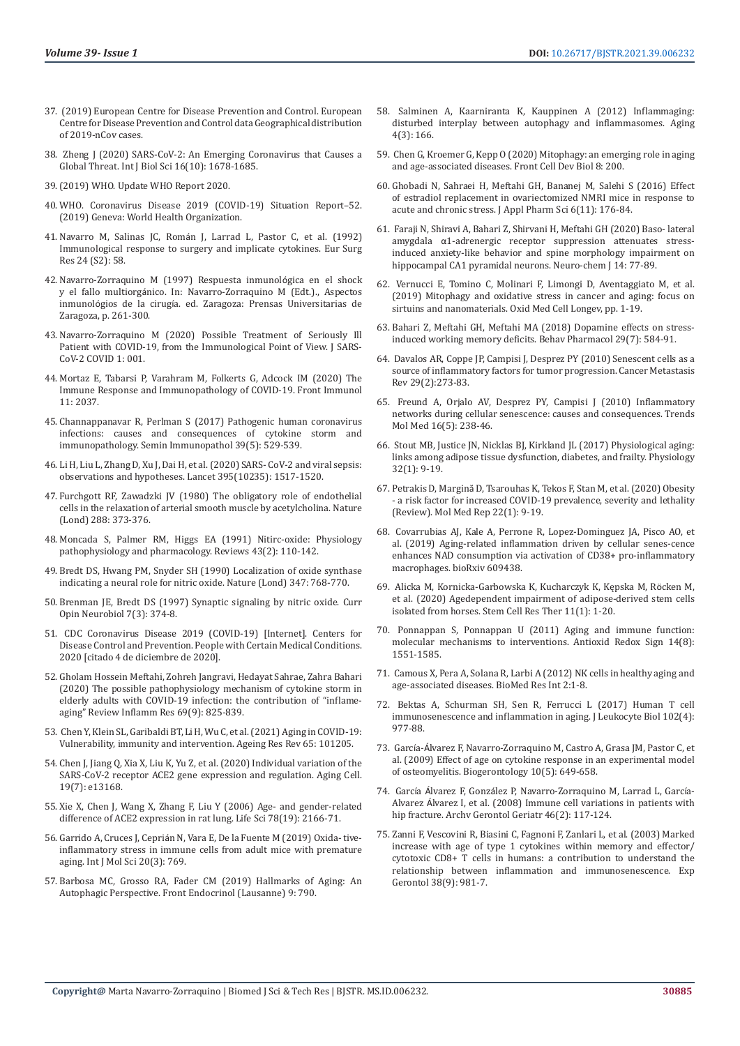- 37. (2019) European Centre for Disease Prevention and Control. European Centre for Disease Prevention and Control data Geographical distribution of 2019-nCov cases.
- 38. [Zheng J \(2020\) SARS-CoV-2: An Emerging Coronavirus that Causes a](https://pubmed.ncbi.nlm.nih.gov/32226285/)  [Global Threat. Int J Biol Sci 16\(10\): 1678-1685.](https://pubmed.ncbi.nlm.nih.gov/32226285/)
- 39.(2019) WHO. Update WHO Report 2020.
- 40. WHO. Coronavirus Disease 2019 (COVID-19) Situation Report–52. (2019) Geneva: World Health Organization.
- 41. Navarro M, Salinas JC, Román J, Larrad L, Pastor C, et al. (1992) Immunological response to surgery and implicate cytokines. Eur Surg Res 24 (S2): 58.
- 42. Navarro-Zorraquino M (1997) Respuesta inmunológica en el shock y el fallo multiorgánico. In: Navarro-Zorraquino M (Edt.)., Aspectos inmunológios de la cirugía. ed. Zaragoza: Prensas Universitarias de Zaragoza, p. 261-300.
- 43. [Navarro-Zorraquino M \(2020\) Possible Treatment of Seriously Ill](https://wrightacademia.org/articles/jscc/jscc-1-001.php?jid=jscc)  [Patient with COVID-19, from the Immunological Point of View. J SARS-](https://wrightacademia.org/articles/jscc/jscc-1-001.php?jid=jscc)[CoV-2 COVID 1: 001.](https://wrightacademia.org/articles/jscc/jscc-1-001.php?jid=jscc)
- 44. [Mortaz E, Tabarsi P, Varahram M, Folkerts G, Adcock IM \(2020\) The](https://www.frontiersin.org/articles/10.3389/fimmu.2020.02037/full)  [Immune Response and Immunopathology of COVID-19. Front Immunol](https://www.frontiersin.org/articles/10.3389/fimmu.2020.02037/full)  [11: 2037.](https://www.frontiersin.org/articles/10.3389/fimmu.2020.02037/full)
- 45. [Channappanavar R, Perlman S \(2017\) Pathogenic human coronavirus](https://pubmed.ncbi.nlm.nih.gov/28466096/)  [infections: causes and consequences of cytokine storm and](https://pubmed.ncbi.nlm.nih.gov/28466096/)  [immunopathology. Semin Immunopathol 39\(5\): 529-539.](https://pubmed.ncbi.nlm.nih.gov/28466096/)
- 46. [Li H, Liu L, Zhang D, Xu J, Dai H, et al. \(2020\) SARS- CoV-2 and viral sepsis:](https://pubmed.ncbi.nlm.nih.gov/32311318/)  [observations and hypotheses. Lancet 395\(10235\): 1517-1520.](https://pubmed.ncbi.nlm.nih.gov/32311318/)
- 47. Furchgott RF, Zawadzki JV (1980) The obligatory role of endothelial cells in the relaxation of arterial smooth muscle by acetylcholina. Nature (Lond) 288: 373-376.
- 48. [Moncada S, Palmer RM, Higgs EA \(1991\) Nitirc-oxide: Physiology](https://pubmed.ncbi.nlm.nih.gov/1852778/)  [pathophysiology and pharmacology. Reviews 43\(2\): 110-142.](https://pubmed.ncbi.nlm.nih.gov/1852778/)
- 49. [Bredt DS, Hwang PM, Snyder SH \(1990\) Localization of oxide synthase](https://pubmed.ncbi.nlm.nih.gov/1700301/)  [indicating a neural role for nitric oxide. Nature \(Lond\) 347: 768-770.](https://pubmed.ncbi.nlm.nih.gov/1700301/)
- 50. [Brenman JE, Bredt DS \(1997\) Synaptic signaling by nitric oxide. Curr](https://pubmed.ncbi.nlm.nih.gov/9232800/)  [Opin Neurobiol 7\(3\): 374-8.](https://pubmed.ncbi.nlm.nih.gov/9232800/)
- 51. CDC Coronavirus Disease 2019 (COVID-19) [Internet]. Centers for Disease Control and Prevention. People with Certain Medical Conditions. 2020 [citado 4 de diciembre de 2020].
- 52. [Gholam Hossein Meftahi, Zohreh Jangravi, Hedayat Sahrae, Zahra Bahari](https://pubmed.ncbi.nlm.nih.gov/32529477/)  [\(2020\) The possible pathophysiology mechanism of cytokine storm in](https://pubmed.ncbi.nlm.nih.gov/32529477/)  [elderly adults with COVID-19 infection: the contribution of "inflame](https://pubmed.ncbi.nlm.nih.gov/32529477/)[aging" Review Inflamm Res 69\(9\): 825-839.](https://pubmed.ncbi.nlm.nih.gov/32529477/)
- 53. [Chen Y, Klein SL, Garibaldi BT, Li H, Wu C, et al. \(2021\) Aging in COVID-19:](https://pubmed.ncbi.nlm.nih.gov/33137510/)  [Vulnerability, immunity and intervention. Ageing Res Rev 65: 101205.](https://pubmed.ncbi.nlm.nih.gov/33137510/)
- 54. [Chen J, Jiang Q, Xia X, Liu K, Yu Z, et al. \(2020\) Individual variation of the](https://pubmed.ncbi.nlm.nih.gov/32558150/)  [SARS-CoV-2 receptor ACE2 gene expression and regulation. Aging Cell.](https://pubmed.ncbi.nlm.nih.gov/32558150/)  [19\(7\): e13168.](https://pubmed.ncbi.nlm.nih.gov/32558150/)
- 55. [Xie X, Chen J, Wang X, Zhang F, Liu Y \(2006\) Age- and gender-related](https://www.ncbi.nlm.nih.gov/labs/pmc/articles/PMC7094566/)  [difference of ACE2 expression in rat lung. Life Sci 78\(19\): 2166-71.](https://www.ncbi.nlm.nih.gov/labs/pmc/articles/PMC7094566/)
- 56. Garrido A, Cruces J, Cepriá[n N, Vara E, De la Fuente M \(2019\) Oxida- tive](https://www.ncbi.nlm.nih.gov/labs/pmc/articles/PMC6387005/)[inflammatory stress in immune cells from adult mice with premature](https://www.ncbi.nlm.nih.gov/labs/pmc/articles/PMC6387005/)  [aging. Int J Mol Sci 20\(3\): 769.](https://www.ncbi.nlm.nih.gov/labs/pmc/articles/PMC6387005/)
- 57. [Barbosa MC, Grosso RA, Fader CM \(2019\) Hallmarks of Aging: An](https://pubmed.ncbi.nlm.nih.gov/30687233/)  [Autophagic Perspective. Front Endocrinol \(Lausanne\) 9: 790.](https://pubmed.ncbi.nlm.nih.gov/30687233/)
- 58. [Salminen A, Kaarniranta K, Kauppinen A \(2012\) Inflammaging:](https://pubmed.ncbi.nlm.nih.gov/22411934/) [disturbed interplay between autophagy and inflammasomes. Aging](https://pubmed.ncbi.nlm.nih.gov/22411934/) [4\(3\): 166.](https://pubmed.ncbi.nlm.nih.gov/22411934/)
- 59. [Chen G, Kroemer G, Kepp O \(2020\) Mitophagy: an emerging role in aging](https://pubmed.ncbi.nlm.nih.gov/32274386/) [and age-associated diseases. Front Cell Dev Biol 8: 200.](https://pubmed.ncbi.nlm.nih.gov/32274386/)
- 60. Ghobadi N, Sahraei H, Meftahi GH, Bananej M, Salehi S (2016) Effect of estradiol replacement in ovariectomized NMRI mice in response to acute and chronic stress. J Appl Pharm Sci 6(11): 176-84.
- 61. [Faraji N, Shiravi A, Bahari Z, Shirvani H, Meftahi GH \(2020\) Baso- lateral](https://link.springer.com/article/10.1134/S1819712420010079) amygdala α[1-adrenergic receptor suppression attenuates stress](https://link.springer.com/article/10.1134/S1819712420010079)[induced anxiety-like behavior and spine morphology impairment on](https://link.springer.com/article/10.1134/S1819712420010079) [hippocampal CA1 pyramidal neurons. Neuro-chem J 14: 77-89.](https://link.springer.com/article/10.1134/S1819712420010079)
- 62. [Vernucci E, Tomino C, Molinari F, Limongi D, Aventaggiato M, et al.](https://pubmed.ncbi.nlm.nih.gov/31210843/) [\(2019\) Mitophagy and oxidative stress in cancer and aging: focus on](https://pubmed.ncbi.nlm.nih.gov/31210843/) [sirtuins and nanomaterials. Oxid Med Cell Longev, pp. 1-19.](https://pubmed.ncbi.nlm.nih.gov/31210843/)
- 63. [Bahari Z, Meftahi GH, Meftahi MA \(2018\) Dopamine effects on stress](https://pubmed.ncbi.nlm.nih.gov/30215620/)[induced working memory deficits. Behav Pharmacol 29\(7\): 584-91.](https://pubmed.ncbi.nlm.nih.gov/30215620/)
- 64. [Davalos AR, Coppe JP, Campisi J, Desprez PY \(2010\) Senescent cells as a](https://pubmed.ncbi.nlm.nih.gov/20390322/) [source of inflammatory factors for tumor progression. Cancer Metastasis](https://pubmed.ncbi.nlm.nih.gov/20390322/) [Rev 29\(2\):273-83.](https://pubmed.ncbi.nlm.nih.gov/20390322/)
- 65. [Freund A, Orjalo AV, Desprez PY, Campisi J \(2010\) Inflammatory](https://pubmed.ncbi.nlm.nih.gov/20444648/) [networks during cellular senescence: causes and consequences. Trends](https://pubmed.ncbi.nlm.nih.gov/20444648/) [Mol Med 16\(5\): 238-46.](https://pubmed.ncbi.nlm.nih.gov/20444648/)
- 66. [Stout MB, Justice JN, Nicklas BJ, Kirkland JL \(2017\) Physiological aging:](https://pubmed.ncbi.nlm.nih.gov/27927801/) [links among adipose tissue dysfunction, diabetes, and frailty. Physiology](https://pubmed.ncbi.nlm.nih.gov/27927801/) [32\(1\): 9-19.](https://pubmed.ncbi.nlm.nih.gov/27927801/)
- 67. Petrakis D, Margină [D, Tsarouhas K, Tekos F, Stan M, et al. \(2020\) Obesity](https://pubmed.ncbi.nlm.nih.gov/32377709/) [- a risk factor for increased COVID-19 prevalence, severity and lethality](https://pubmed.ncbi.nlm.nih.gov/32377709/) [\(Review\). Mol Med Rep 22\(1\): 9-19.](https://pubmed.ncbi.nlm.nih.gov/32377709/)
- 68. [Covarrubias AJ, Kale A, Perrone R, Lopez-Dominguez JA, Pisco AO, et](https://europepmc.org/article/ppr/ppr76505) [al. \(2019\) Aging-related inflammation driven by cellular senes-cence](https://europepmc.org/article/ppr/ppr76505) [enhances NAD consumption via activation of CD38+ pro-inflammatory](https://europepmc.org/article/ppr/ppr76505) [macrophages. bioRxiv 609438.](https://europepmc.org/article/ppr/ppr76505)
- 69. [Alicka M, Kornicka-Garbowska K, Kucharczyk K, Kępska M, R](https://www.researchgate.net/publication/338378356_Age-dependent_impairment_of_adipose-derived_stem_cells_isolated_from_horses)ӧcken M, [et al. \(2020\) Agedependent impairment of adipose-derived stem cells](https://www.researchgate.net/publication/338378356_Age-dependent_impairment_of_adipose-derived_stem_cells_isolated_from_horses) [isolated from horses. Stem Cell Res Ther 11\(1\): 1-20.](https://www.researchgate.net/publication/338378356_Age-dependent_impairment_of_adipose-derived_stem_cells_isolated_from_horses)
- 70. [Ponnappan S, Ponnappan U \(2011\) Aging and immune function:](https://www.ncbi.nlm.nih.gov/labs/pmc/articles/PMC3061194/) [molecular mechanisms to interventions. Antioxid Redox Sign 14\(8\):](https://www.ncbi.nlm.nih.gov/labs/pmc/articles/PMC3061194/) [1551-1585.](https://www.ncbi.nlm.nih.gov/labs/pmc/articles/PMC3061194/)
- 71. [Camous X, Pera A, Solana R, Larbi A \(2012\) NK cells in healthy aging and](https://www.hindawi.com/journals/bmri/2012/195956/) [age-associated diseases. BioMed Res Int 2:1-8.](https://www.hindawi.com/journals/bmri/2012/195956/)
- 72. [Bektas A, Schurman SH, Sen R, Ferrucci L \(2017\) Human T cell](https://pubmed.ncbi.nlm.nih.gov/28733462/) [immunosenescence and inflammation in aging. J Leukocyte Biol 102\(4\):](https://pubmed.ncbi.nlm.nih.gov/28733462/) [977-88.](https://pubmed.ncbi.nlm.nih.gov/28733462/)
- 73. García-Á[lvarez F, Navarro-Zorraquino M, Castro A, Grasa JM, Pastor C, et](https://pubmed.ncbi.nlm.nih.gov/19123052/) [al. \(2009\) Effect of age on cytokine response in an experimental model](https://pubmed.ncbi.nlm.nih.gov/19123052/) [of osteomyelitis. Biogerontology 10\(5\): 649-658.](https://pubmed.ncbi.nlm.nih.gov/19123052/)
- 74. García Álvarez F, Gonzá[lez P, Navarro-Zorraquino M, Larrad L, Garc](https://pubmed.ncbi.nlm.nih.gov/17490758/)ía-Alvarez Á[lvarez I, et al. \(2008\) Immune cell variations in patients with](https://pubmed.ncbi.nlm.nih.gov/17490758/) [hip fracture. Archv Gerontol Geriatr 46\(2\): 117-124.](https://pubmed.ncbi.nlm.nih.gov/17490758/)
- 75. [Zanni F, Vescovini R, Biasini C, Fagnoni F, Zanlari L, et al. \(2003\) Marked](https://pubmed.ncbi.nlm.nih.gov/12954485/) [increase with age of type 1 cytokines within memory and effector/](https://pubmed.ncbi.nlm.nih.gov/12954485/) [cytotoxic CD8+ T cells in humans: a contribution to understand the](https://pubmed.ncbi.nlm.nih.gov/12954485/) [relationship between inflammation and immunosenescence. Exp](https://pubmed.ncbi.nlm.nih.gov/12954485/) [Gerontol 38\(9\): 981-7.](https://pubmed.ncbi.nlm.nih.gov/12954485/)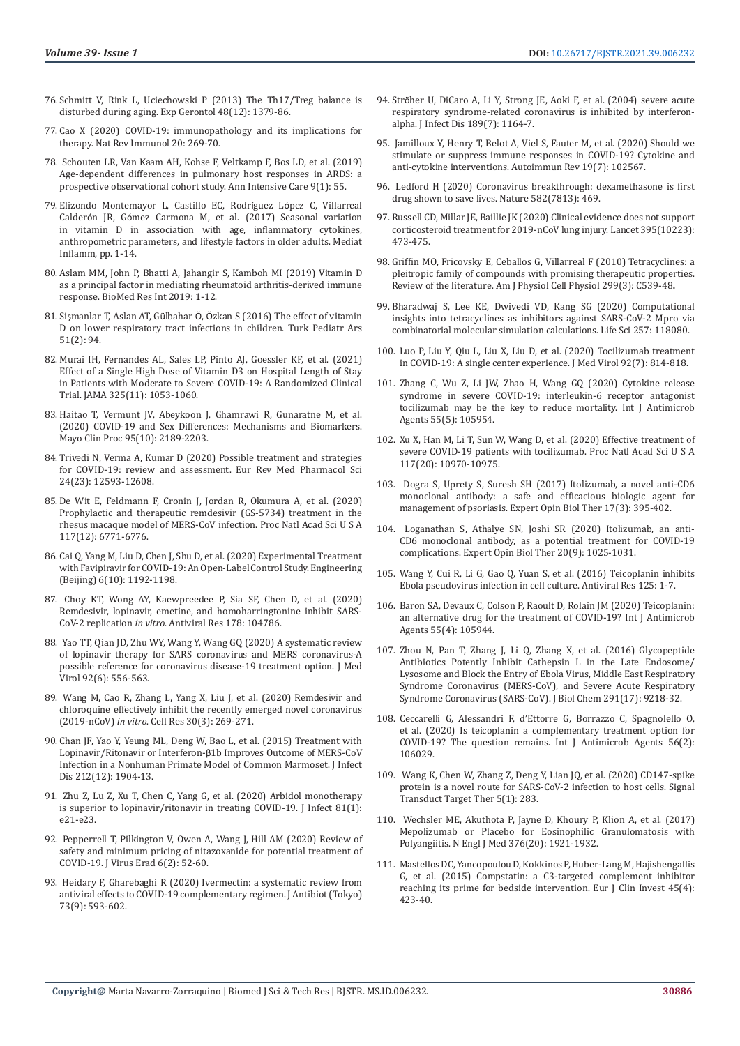- 76. [Schmitt V, Rink L, Uciechowski P \(2013\) The Th17/Treg balance is](https://pubmed.ncbi.nlm.nih.gov/24055797/)  [disturbed during aging. Exp Gerontol 48\(12\): 1379-86.](https://pubmed.ncbi.nlm.nih.gov/24055797/)
- 77. [Cao X \(2020\) COVID-19: immunopathology and its implications for](https://www.nature.com/articles/s41577-020-0308-3)  [therapy. Nat Rev Immunol 20: 269-70.](https://www.nature.com/articles/s41577-020-0308-3)
- 78. [Schouten LR, Van Kaam AH, Kohse F, Veltkamp F, Bos LD, et al. \(2019\)](https://annalsofintensivecare.springeropen.com/articles/10.1186/s13613-019-0529-4)  [Age-dependent differences in pulmonary host responses in ARDS: a](https://annalsofintensivecare.springeropen.com/articles/10.1186/s13613-019-0529-4)  [prospective observational cohort study. Ann Intensive Care 9\(1\): 55.](https://annalsofintensivecare.springeropen.com/articles/10.1186/s13613-019-0529-4)
- 79. [Elizondo Montemayor L, Castillo EC, Rodr](https://www.researchgate.net/publication/319153160_Seasonal_Variation_in_Vitamin_D_in_Association_with_Age_Inflammatory_Cytokines_Anthropometric_Parameters_and_Lifestyle_Factors_in_Older_Adults)íguez López C, Villarreal Calderón JR, Gó[mez Carmona M, et al. \(2017\) Seasonal variation](https://www.researchgate.net/publication/319153160_Seasonal_Variation_in_Vitamin_D_in_Association_with_Age_Inflammatory_Cytokines_Anthropometric_Parameters_and_Lifestyle_Factors_in_Older_Adults)  [in vitamin D in association with age, inflammatory cytokines,](https://www.researchgate.net/publication/319153160_Seasonal_Variation_in_Vitamin_D_in_Association_with_Age_Inflammatory_Cytokines_Anthropometric_Parameters_and_Lifestyle_Factors_in_Older_Adults)  [anthropometric parameters, and lifestyle factors in older adults. Mediat](https://www.researchgate.net/publication/319153160_Seasonal_Variation_in_Vitamin_D_in_Association_with_Age_Inflammatory_Cytokines_Anthropometric_Parameters_and_Lifestyle_Factors_in_Older_Adults)  [Inflamm, pp. 1-14.](https://www.researchgate.net/publication/319153160_Seasonal_Variation_in_Vitamin_D_in_Association_with_Age_Inflammatory_Cytokines_Anthropometric_Parameters_and_Lifestyle_Factors_in_Older_Adults)
- 80. [Aslam MM, John P, Bhatti A, Jahangir S, Kamboh MI \(2019\) Vitamin D](https://www.researchgate.net/publication/332915111_Vitamin_D_as_a_Principal_Factor_in_Mediating_Rheumatoid_Arthritis-Derived_Immune_Response)  [as a principal factor in mediating rheumatoid arthritis-derived immune](https://www.researchgate.net/publication/332915111_Vitamin_D_as_a_Principal_Factor_in_Mediating_Rheumatoid_Arthritis-Derived_Immune_Response)  [response. BioMed Res Int 2019: 1-12.](https://www.researchgate.net/publication/332915111_Vitamin_D_as_a_Principal_Factor_in_Mediating_Rheumatoid_Arthritis-Derived_Immune_Response)
- 81. Sişmanlar T, Aslan AT, Gülbahar Ö, Ö[zkan S \(2016\) The effect of vitamin](https://pubmed.ncbi.nlm.nih.gov/27489466/)  [D on lower respiratory tract infections in children. Turk Pediatr Ars](https://pubmed.ncbi.nlm.nih.gov/27489466/)  [51\(2\): 94.](https://pubmed.ncbi.nlm.nih.gov/27489466/)
- 82. [Murai IH, Fernandes AL, Sales LP, Pinto AJ, Goessler KF, et al. \(2021\)](https://pubmed.ncbi.nlm.nih.gov/33595634/)  [Effect of a Single High Dose of Vitamin D3 on Hospital Length of Stay](https://pubmed.ncbi.nlm.nih.gov/33595634/)  [in Patients with Moderate to Severe COVID-19: A Randomized Clinical](https://pubmed.ncbi.nlm.nih.gov/33595634/)  [Trial. JAMA 325\(11\): 1053-1060.](https://pubmed.ncbi.nlm.nih.gov/33595634/)
- 83. [Haitao T, Vermunt JV, Abeykoon J, Ghamrawi R, Gunaratne M, et al.](https://pubmed.ncbi.nlm.nih.gov/33012349/)  [\(2020\) COVID-19 and Sex Differences: Mechanisms and Biomarkers.](https://pubmed.ncbi.nlm.nih.gov/33012349/)  [Mayo Clin Proc 95\(10\): 2189-2203.](https://pubmed.ncbi.nlm.nih.gov/33012349/)
- 84. [Trivedi N, Verma A, Kumar D \(2020\) Possible treatment and strategies](https://pubmed.ncbi.nlm.nih.gov/33336780/)  [for COVID-19: review and assessment. Eur Rev Med Pharmacol Sci](https://pubmed.ncbi.nlm.nih.gov/33336780/)  [24\(23\): 12593-12608.](https://pubmed.ncbi.nlm.nih.gov/33336780/)
- 85. [De Wit E, Feldmann F, Cronin J, Jordan R, Okumura A, et al. \(2020\)](https://pubmed.ncbi.nlm.nih.gov/32054787/)  [Prophylactic and therapeutic remdesivir \(GS-5734\) treatment in the](https://pubmed.ncbi.nlm.nih.gov/32054787/)  [rhesus macaque model of MERS-CoV infection. Proc Natl Acad Sci U S A](https://pubmed.ncbi.nlm.nih.gov/32054787/)  [117\(12\): 6771-6776.](https://pubmed.ncbi.nlm.nih.gov/32054787/)
- 86. [Cai Q, Yang M, Liu D, Chen J, Shu D, et al. \(2020\) Experimental Treatment](https://pubmed.ncbi.nlm.nih.gov/32346491/)  [with Favipiravir for COVID-19: An Open-Label Control Study. Engineering](https://pubmed.ncbi.nlm.nih.gov/32346491/)  [\(Beijing\) 6\(10\): 1192-1198.](https://pubmed.ncbi.nlm.nih.gov/32346491/)
- 87. [Choy KT, Wong AY, Kaewpreedee P, Sia SF, Chen D, et al. \(2020\)](https://pubmed.ncbi.nlm.nih.gov/32251767/)  [Remdesivir, lopinavir, emetine, and homoharringtonine inhibit SARS-](https://pubmed.ncbi.nlm.nih.gov/32251767/)CoV-2 replication *in vitro*[. Antiviral Res 178: 104786.](https://pubmed.ncbi.nlm.nih.gov/32251767/)
- 88. [Yao TT, Qian JD, Zhu WY, Wang Y, Wang GQ \(2020\) A systematic review](https://pubmed.ncbi.nlm.nih.gov/32104907/)  [of lopinavir therapy for SARS coronavirus and MERS coronavirus-A](https://pubmed.ncbi.nlm.nih.gov/32104907/)  [possible reference for coronavirus disease-19 treatment option. J Med](https://pubmed.ncbi.nlm.nih.gov/32104907/)  [Virol 92\(6\): 556-563.](https://pubmed.ncbi.nlm.nih.gov/32104907/)
- 89. [Wang M, Cao R, Zhang L, Yang X, Liu J, et al. \(2020\) Remdesivir and](https://pubmed.ncbi.nlm.nih.gov/32020029/)  [chloroquine effectively inhibit the recently emerged novel coronavirus](https://pubmed.ncbi.nlm.nih.gov/32020029/)  (2019-nCoV) *in vitro*[. Cell Res 30\(3\): 269-271.](https://pubmed.ncbi.nlm.nih.gov/32020029/)
- 90. [Chan JF, Yao Y, Yeung ML, Deng W, Bao L, et al. \(2015\) Treatment with](https://pubmed.ncbi.nlm.nih.gov/26198719/)  Lopinavir/Ritonavir or Interferon-β[1b Improves Outcome of MERS-CoV](https://pubmed.ncbi.nlm.nih.gov/26198719/)  [Infection in a Nonhuman Primate Model of Common Marmoset. J Infect](https://pubmed.ncbi.nlm.nih.gov/26198719/)  [Dis 212\(12\): 1904-13.](https://pubmed.ncbi.nlm.nih.gov/26198719/)
- 91. [Zhu Z, Lu Z, Xu T, Chen C, Yang G, et al. \(2020\) Arbidol monotherapy](https://pubmed.ncbi.nlm.nih.gov/32283143/)  [is superior to lopinavir/ritonavir in treating COVID-19. J Infect 81\(1\):](https://pubmed.ncbi.nlm.nih.gov/32283143/)  [e21-e23.](https://pubmed.ncbi.nlm.nih.gov/32283143/)
- 92. [Pepperrell T, Pilkington V, Owen A, Wang J, Hill AM \(2020\) Review of](https://pubmed.ncbi.nlm.nih.gov/32405422/)  [safety and minimum pricing of nitazoxanide for potential treatment of](https://pubmed.ncbi.nlm.nih.gov/32405422/)  [COVID-19. J Virus Erad 6\(2\): 52-60.](https://pubmed.ncbi.nlm.nih.gov/32405422/)
- 93. [Heidary F, Gharebaghi R \(2020\) Ivermectin: a systematic review from](https://pubmed.ncbi.nlm.nih.gov/32533071/)  [antiviral effects to COVID-19 complementary regimen. J Antibiot \(Tokyo\)](https://pubmed.ncbi.nlm.nih.gov/32533071/)  [73\(9\): 593-602.](https://pubmed.ncbi.nlm.nih.gov/32533071/)
- 94. Strö[her U, DiCaro A, Li Y, Strong JE, Aoki F, et al. \(2004\) severe acute](https://pubmed.ncbi.nlm.nih.gov/15031783/) [respiratory syndrome-related coronavirus is inhibited by interferon](https://pubmed.ncbi.nlm.nih.gov/15031783/)[alpha. J Infect Dis 189\(7\): 1164-7.](https://pubmed.ncbi.nlm.nih.gov/15031783/)
- 95. [Jamilloux Y, Henry T, Belot A, Viel S, Fauter M, et al. \(2020\) Should we](https://pubmed.ncbi.nlm.nih.gov/32376392/) [stimulate or suppress immune responses in COVID-19? Cytokine and](https://pubmed.ncbi.nlm.nih.gov/32376392/) [anti-cytokine interventions. Autoimmun Rev 19\(7\): 102567.](https://pubmed.ncbi.nlm.nih.gov/32376392/)
- 96. [Ledford H \(2020\) Coronavirus breakthrough: dexamethasone is first](https://pubmed.ncbi.nlm.nih.gov/32546811/) [drug shown to save lives. Nature 582\(7813\): 469.](https://pubmed.ncbi.nlm.nih.gov/32546811/)
- 97. [Russell CD, Millar JE, Baillie JK \(2020\) Clinical evidence does not support](https://www.thelancet.com/journals/lancet/article/PIIS0140-6736(20)30317-2/fulltext) [corticosteroid treatment for 2019-nCoV lung injury. Lancet 395\(10223\):](https://www.thelancet.com/journals/lancet/article/PIIS0140-6736(20)30317-2/fulltext) [473-475.](https://www.thelancet.com/journals/lancet/article/PIIS0140-6736(20)30317-2/fulltext)
- 98. [Griffin MO, Fricovsky E, Ceballos G, Villarreal F \(2010\) Tetracyclines: a](https://pubmed.ncbi.nlm.nih.gov/20592239/) [pleitropic family of compounds with promising therapeutic properties.](https://pubmed.ncbi.nlm.nih.gov/20592239/) [Review of the literature. Am J Physiol Cell Physiol 299\(3\): C539-48](https://pubmed.ncbi.nlm.nih.gov/20592239/)**.**
- 99. [Bharadwaj S, Lee KE, Dwivedi VD, Kang SG \(2020\) Computational](https://pubmed.ncbi.nlm.nih.gov/32653520/) [insights into tetracyclines as inhibitors against SARS-CoV-2 Mpro via](https://pubmed.ncbi.nlm.nih.gov/32653520/) [combinatorial molecular simulation calculations. Life Sci 257: 118080.](https://pubmed.ncbi.nlm.nih.gov/32653520/)
- 100. [Luo P, Liu Y, Qiu L, Liu X, Liu D, et al. \(2020\) Tocilizumab treatment](https://pubmed.ncbi.nlm.nih.gov/32253759/) [in COVID-19: A single center experience. J Med Virol 92\(7\): 814-818.](https://pubmed.ncbi.nlm.nih.gov/32253759/)
- 101. [Zhang C, Wu Z, Li JW, Zhao H, Wang GQ \(2020\) Cytokine release](https://pubmed.ncbi.nlm.nih.gov/32234467/) [syndrome in severe COVID-19: interleukin-6 receptor antagonist](https://pubmed.ncbi.nlm.nih.gov/32234467/) [tocilizumab may be the key to reduce mortality. Int J Antimicrob](https://pubmed.ncbi.nlm.nih.gov/32234467/) [Agents 55\(5\): 105954.](https://pubmed.ncbi.nlm.nih.gov/32234467/)
- 102. [Xu X, Han M, Li T, Sun W, Wang D, et al. \(2020\) Effective treatment of](https://pubmed.ncbi.nlm.nih.gov/32350134/) [severe COVID-19 patients with tocilizumab. Proc Natl Acad Sci U S A](https://pubmed.ncbi.nlm.nih.gov/32350134/) [117\(20\): 10970-10975.](https://pubmed.ncbi.nlm.nih.gov/32350134/)
- 103. [Dogra S, Uprety S, Suresh SH \(2017\) Itolizumab, a novel anti-CD6](https://pubmed.ncbi.nlm.nih.gov/28064543/) [monoclonal antibody: a safe and efficacious biologic agent for](https://pubmed.ncbi.nlm.nih.gov/28064543/) [management of psoriasis. Expert Opin Biol Ther 17\(3\): 395-402.](https://pubmed.ncbi.nlm.nih.gov/28064543/)
- 104. [Loganathan S, Athalye SN, Joshi SR \(2020\) Itolizumab, an anti-](https://pubmed.ncbi.nlm.nih.gov/32700604/)[CD6 monoclonal antibody, as a potential treatment for COVID-19](https://pubmed.ncbi.nlm.nih.gov/32700604/) [complications. Expert Opin Biol Ther 20\(9\): 1025-1031.](https://pubmed.ncbi.nlm.nih.gov/32700604/)
- 105. [Wang Y, Cui R, Li G, Gao Q, Yuan S, et al. \(2016\) Teicoplanin inhibits](https://pubmed.ncbi.nlm.nih.gov/26585243/) [Ebola pseudovirus infection in cell culture. Antiviral Res 125: 1-7.](https://pubmed.ncbi.nlm.nih.gov/26585243/)
- 106. [Baron SA, Devaux C, Colson P, Raoult D, Rolain JM \(2020\) Teicoplanin:](https://pubmed.ncbi.nlm.nih.gov/32179150/) [an alternative drug for the treatment of COVID-19? Int J Antimicrob](https://pubmed.ncbi.nlm.nih.gov/32179150/) [Agents 55\(4\): 105944.](https://pubmed.ncbi.nlm.nih.gov/32179150/)
- 107. [Zhou N, Pan T, Zhang J, Li Q, Zhang X, et al. \(2016\) Glycopeptide](https://pubmed.ncbi.nlm.nih.gov/26953343/) [Antibiotics Potently Inhibit Cathepsin L in the Late Endosome/](https://pubmed.ncbi.nlm.nih.gov/26953343/) [Lysosome and Block the Entry of Ebola Virus, Middle East Respiratory](https://pubmed.ncbi.nlm.nih.gov/26953343/) [Syndrome Coronavirus \(MERS-CoV\), and Severe Acute Respiratory](https://pubmed.ncbi.nlm.nih.gov/26953343/) [Syndrome Coronavirus \(SARS-CoV\). J Biol Chem 291\(17\): 9218-32.](https://pubmed.ncbi.nlm.nih.gov/26953343/)
- 108. [Ceccarelli G, Alessandri F, d'Ettorre G, Borrazzo C, Spagnolello O,](https://pubmed.ncbi.nlm.nih.gov/32454071/) [et al. \(2020\) Is teicoplanin a complementary treatment option for](https://pubmed.ncbi.nlm.nih.gov/32454071/) [COVID-19? The question remains. Int J Antimicrob Agents 56\(2\):](https://pubmed.ncbi.nlm.nih.gov/32454071/) [106029.](https://pubmed.ncbi.nlm.nih.gov/32454071/)
- 109. [Wang K, Chen W, Zhang Z, Deng Y, Lian JQ, et al. \(2020\) CD147-spike](https://pubmed.ncbi.nlm.nih.gov/33277466/) [protein is a novel route for SARS-CoV-2 infection to host cells. Signal](https://pubmed.ncbi.nlm.nih.gov/33277466/) [Transduct Target Ther 5\(1\): 283.](https://pubmed.ncbi.nlm.nih.gov/33277466/)
- 110. [Wechsler ME, Akuthota P, Jayne D, Khoury P, Klion A, et al. \(2017\)](https://pubmed.ncbi.nlm.nih.gov/28514601/) [Mepolizumab or Placebo for Eosinophilic Granulomatosis with](https://pubmed.ncbi.nlm.nih.gov/28514601/) [Polyangiitis. N Engl J Med 376\(20\): 1921-1932.](https://pubmed.ncbi.nlm.nih.gov/28514601/)
- 111. [Mastellos DC, Yancopoulou D, Kokkinos P, Huber-Lang M, Hajishengallis](https://pubmed.ncbi.nlm.nih.gov/25678219/) [G, et al. \(2015\) Compstatin: a C3-targeted complement inhibitor](https://pubmed.ncbi.nlm.nih.gov/25678219/) [reaching its prime for bedside intervention. Eur J Clin Invest 45\(4\):](https://pubmed.ncbi.nlm.nih.gov/25678219/) [423-40.](https://pubmed.ncbi.nlm.nih.gov/25678219/)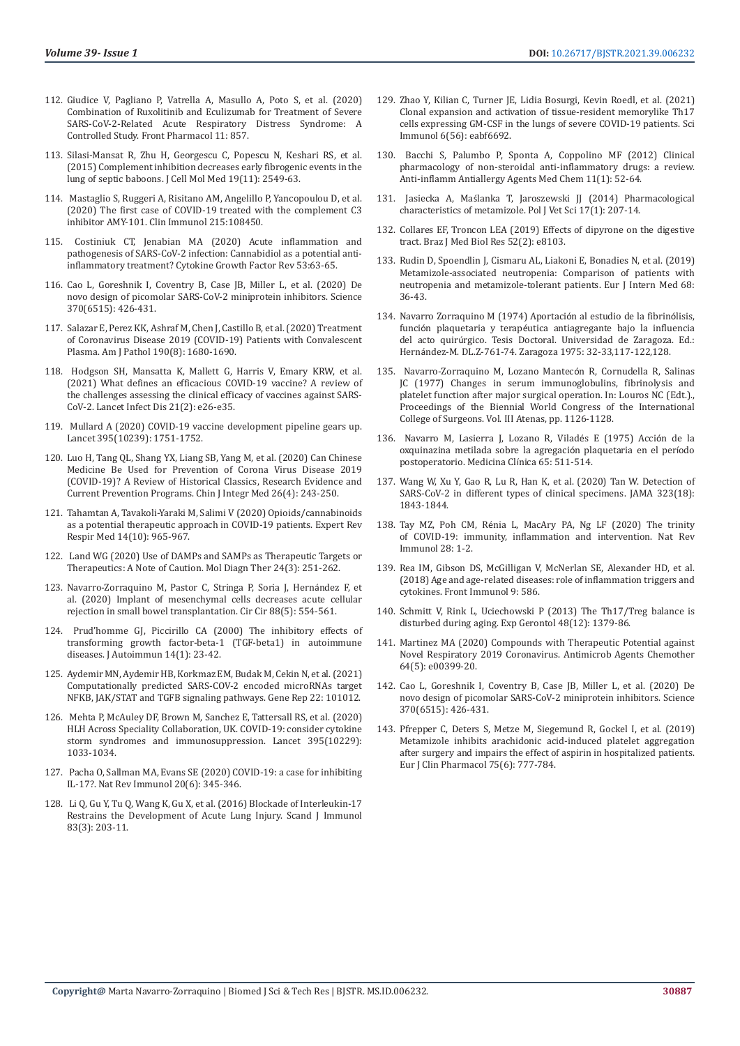- 112. [Giudice V, Pagliano P, Vatrella A, Masullo A, Poto S, et al. \(2020\)](https://www.ncbi.nlm.nih.gov/labs/pmc/articles/PMC7291857/)  [Combination of Ruxolitinib and Eculizumab for Treatment of Severe](https://www.ncbi.nlm.nih.gov/labs/pmc/articles/PMC7291857/)  [SARS-CoV-2-Related Acute Respiratory Distress Syndrome: A](https://www.ncbi.nlm.nih.gov/labs/pmc/articles/PMC7291857/)  [Controlled Study. Front Pharmacol 11: 857.](https://www.ncbi.nlm.nih.gov/labs/pmc/articles/PMC7291857/)
- 113. [Silasi-Mansat R, Zhu H, Georgescu C, Popescu N, Keshari RS, et al.](https://pubmed.ncbi.nlm.nih.gov/26337158/)  [\(2015\) Complement inhibition decreases early fibrogenic events in the](https://pubmed.ncbi.nlm.nih.gov/26337158/)  [lung of septic baboons. J Cell Mol Med 19\(11\): 2549-63.](https://pubmed.ncbi.nlm.nih.gov/26337158/)
- 114. [Mastaglio S, Ruggeri A, Risitano AM, Angelillo P, Yancopoulou D, et al.](https://pubmed.ncbi.nlm.nih.gov/32360516/)  [\(2020\) The first case of COVID-19 treated with the complement C3](https://pubmed.ncbi.nlm.nih.gov/32360516/)  [inhibitor AMY-101. Clin Immunol 215:108450.](https://pubmed.ncbi.nlm.nih.gov/32360516/)
- 115. [Costiniuk CT, Jenabian MA \(2020\) Acute inflammation and](https://www.ncbi.nlm.nih.gov/labs/pmc/articles/PMC7239000/)  [pathogenesis of SARS-CoV-2 infection: Cannabidiol as a potential anti](https://www.ncbi.nlm.nih.gov/labs/pmc/articles/PMC7239000/)[inflammatory treatment? Cytokine Growth Factor Rev 53:63-65.](https://www.ncbi.nlm.nih.gov/labs/pmc/articles/PMC7239000/)
- 116. [Cao L, Goreshnik I, Coventry B, Case JB, Miller L, et al. \(2020\) De](https://pubmed.ncbi.nlm.nih.gov/32907861/)  [novo design of picomolar SARS-CoV-2 miniprotein inhibitors. Science](https://pubmed.ncbi.nlm.nih.gov/32907861/)  [370\(6515\): 426-431.](https://pubmed.ncbi.nlm.nih.gov/32907861/)
- 117. [Salazar E, Perez KK, Ashraf M, Chen J, Castillo B, et al. \(2020\) Treatment](https://pubmed.ncbi.nlm.nih.gov/32473109/)  [of Coronavirus Disease 2019 \(COVID-19\) Patients with Convalescent](https://pubmed.ncbi.nlm.nih.gov/32473109/)  [Plasma. Am J Pathol 190\(8\): 1680-1690.](https://pubmed.ncbi.nlm.nih.gov/32473109/)
- 118. [Hodgson SH, Mansatta K, Mallett G, Harris V, Emary KRW, et al.](https://pubmed.ncbi.nlm.nih.gov/33125914/)  [\(2021\) What defines an efficacious COVID-19 vaccine? A review of](https://pubmed.ncbi.nlm.nih.gov/33125914/)  [the challenges assessing the clinical efficacy of vaccines against SARS-](https://pubmed.ncbi.nlm.nih.gov/33125914/)[CoV-2. Lancet Infect Dis 21\(2\): e26-e35.](https://pubmed.ncbi.nlm.nih.gov/33125914/)
- 119. [Mullard A \(2020\) COVID-19 vaccine development pipeline gears up.](https://pubmed.ncbi.nlm.nih.gov/32505245/)  [Lancet 395\(10239\): 1751-1752.](https://pubmed.ncbi.nlm.nih.gov/32505245/)
- 120. [Luo H, Tang QL, Shang YX, Liang SB, Yang M, et al. \(2020\) Can Chinese](https://pubmed.ncbi.nlm.nih.gov/32065348/)  [Medicine Be Used for Prevention of Corona Virus Disease 2019](https://pubmed.ncbi.nlm.nih.gov/32065348/)  [\(COVID-19\)? A Review of Historical Classics, Research Evidence and](https://pubmed.ncbi.nlm.nih.gov/32065348/)  [Current Prevention Programs. Chin J Integr Med 26\(4\): 243-250.](https://pubmed.ncbi.nlm.nih.gov/32065348/)
- 121. [Tahamtan A, Tavakoli-Yaraki M, Salimi V \(2020\) Opioids/cannabinoids](https://pubmed.ncbi.nlm.nih.gov/32576053/)  [as a potential therapeutic approach in COVID-19 patients. Expert Rev](https://pubmed.ncbi.nlm.nih.gov/32576053/)  [Respir Med 14\(10\): 965-967.](https://pubmed.ncbi.nlm.nih.gov/32576053/)
- 122. [Land WG \(2020\) Use of DAMPs and SAMPs as Therapeutic Targets or](https://pubmed.ncbi.nlm.nih.gov/32248387/)  [Therapeutics: A Note of Caution. Mol Diagn Ther 24\(3\): 251-262.](https://pubmed.ncbi.nlm.nih.gov/32248387/)
- 123. [Navarro-Zorraquino M, Pastor C, Stringa P, Soria J, Hern](https://pubmed.ncbi.nlm.nih.gov/33064706/)ández F, et [al. \(2020\) Implant of mesenchymal cells decreases acute cellular](https://pubmed.ncbi.nlm.nih.gov/33064706/)  [rejection in small bowel transplantation. Cir Cir 88\(5\): 554-561.](https://pubmed.ncbi.nlm.nih.gov/33064706/)
- 124. [Prud'homme GJ, Piccirillo CA \(2000\) The inhibitory effects of](https://pubmed.ncbi.nlm.nih.gov/10648114/)  [transforming growth factor-beta-1 \(TGF-beta1\) in autoimmune](https://pubmed.ncbi.nlm.nih.gov/10648114/)  [diseases. J Autoimmun 14\(1\): 23-42.](https://pubmed.ncbi.nlm.nih.gov/10648114/)
- 125. [Aydemir MN, Aydemir HB, Korkmaz EM, Budak M, Cekin N, et al. \(2021\)](https://pubmed.ncbi.nlm.nih.gov/33398248/)  [Computationally predicted SARS-COV-2 encoded microRNAs target](https://pubmed.ncbi.nlm.nih.gov/33398248/)  [NFKB, JAK/STAT and TGFB signaling pathways. Gene Rep 22: 101012.](https://pubmed.ncbi.nlm.nih.gov/33398248/)
- 126. [Mehta P, McAuley DF, Brown M, Sanchez E, Tattersall RS, et al. \(2020\)](https://www.thelancet.com/journals/lancet/article/PIIS0140-6736(20)30628-0/fulltext)  [HLH Across Speciality Collaboration, UK. COVID-19: consider cytokine](https://www.thelancet.com/journals/lancet/article/PIIS0140-6736(20)30628-0/fulltext)  [storm syndromes and immunosuppression. Lancet 395\(10229\):](https://www.thelancet.com/journals/lancet/article/PIIS0140-6736(20)30628-0/fulltext)  [1033-1034.](https://www.thelancet.com/journals/lancet/article/PIIS0140-6736(20)30628-0/fulltext)
- 127. [Pacha O, Sallman MA, Evans SE \(2020\) COVID-19: a case for inhibiting](https://pubmed.ncbi.nlm.nih.gov/32358580/)  [IL-17?. Nat Rev Immunol 20\(6\): 345-346.](https://pubmed.ncbi.nlm.nih.gov/32358580/)
- 128. [Li Q, Gu Y, Tu Q, Wang K, Gu X, et al. \(2016\) Blockade of Interleukin-17](https://pubmed.ncbi.nlm.nih.gov/26709006/)  [Restrains the Development of Acute Lung Injury. Scand J Immunol](https://pubmed.ncbi.nlm.nih.gov/26709006/)  [83\(3\): 203-11.](https://pubmed.ncbi.nlm.nih.gov/26709006/)
- 129. [Zhao Y, Kilian C, Turner JE, Lidia Bosurgi, Kevin Roedl, et al. \(2021\)](https://pubmed.ncbi.nlm.nih.gov/33622974/) [Clonal expansion and activation of tissue-resident memorylike Th17](https://pubmed.ncbi.nlm.nih.gov/33622974/) [cells expressing GM-CSF in the lungs of severe COVID-19 patients. Sci](https://pubmed.ncbi.nlm.nih.gov/33622974/) [Immunol 6\(56\): eabf6692.](https://pubmed.ncbi.nlm.nih.gov/33622974/)
- 130. [Bacchi S, Palumbo P, Sponta A, Coppolino MF \(2012\) Clinical](https://pubmed.ncbi.nlm.nih.gov/22934743/) [pharmacology of non-steroidal anti-inflammatory drugs: a review.](https://pubmed.ncbi.nlm.nih.gov/22934743/) [Anti-inflamm Antiallergy Agents Med Chem 11\(1\): 52-64.](https://pubmed.ncbi.nlm.nih.gov/22934743/)
- 131. Jasiecka A, Maś[lanka T, Jaroszewski JJ \(2014\) Pharmacological](https://pubmed.ncbi.nlm.nih.gov/24724493/) [characteristics of metamizole. Pol J Vet Sci 17\(1\): 207-14.](https://pubmed.ncbi.nlm.nih.gov/24724493/)
- 132. [Collares EF, Troncon LEA \(2019\) Effects of dipyrone on the digestive](https://pubmed.ncbi.nlm.nih.gov/30652827/) [tract. Braz J Med Biol Res 52\(2\): e8103.](https://pubmed.ncbi.nlm.nih.gov/30652827/)
- 133. [Rudin D, Spoendlin J, Cismaru AL, Liakoni E, Bonadies N, et al. \(2019\)](https://pubmed.ncbi.nlm.nih.gov/31383393/) [Metamizole-associated neutropenia: Comparison of patients with](https://pubmed.ncbi.nlm.nih.gov/31383393/) [neutropenia and metamizole-tolerant patients. Eur J Intern Med 68:](https://pubmed.ncbi.nlm.nih.gov/31383393/) [36-43.](https://pubmed.ncbi.nlm.nih.gov/31383393/)
- 134. Navarro Zorraquino M (1974) Aportación al estudio de la fibrinólisis, función plaquetaria y terapéutica antiagregante bajo la influencia del acto quirúrgico. Tesis Doctoral. Universidad de Zaragoza. Ed.: Hernández-M. DL.Z-761-74. Zaragoza 1975: 32-33,117-122,128.
- 135. Navarro-Zorraquino M, Lozano Mantecón R, Cornudella R, Salinas JC (1977) Changes in serum immunoglobulins, fibrinolysis and platelet function after major surgical operation. In: Louros NC (Edt.)., Proceedings of the Biennial World Congress of the International College of Surgeons. Vol. III Atenas, pp. 1126-1128.
- 136. Navarro M, Lasierra J, Lozano R, Viladés E (1975) Acción de la oxquinazina metilada sobre la agregación plaquetaria en el período postoperatorio. Medicina Clínica 65: 511-514.
- 137. [Wang W, Xu Y, Gao R, Lu R, Han K, et al. \(2020\) Tan W. Detection of](https://www.ncbi.nlm.nih.gov/labs/pmc/articles/PMC7066521/) [SARS-CoV-2 in different types of clinical specimens. JAMA 323\(18\):](https://www.ncbi.nlm.nih.gov/labs/pmc/articles/PMC7066521/) [1843-1844.](https://www.ncbi.nlm.nih.gov/labs/pmc/articles/PMC7066521/)
- 138. Tay MZ, Poh CM, Rénia L, MacAry PA, Ng LF (2020) The trinity of COVID-19: immunity, inflammation and intervention. Nat Rev Immunol 28: 1-2.
- 139. [Rea IM, Gibson DS, McGilligan V, McNerlan SE, Alexander HD, et al.](https://pubmed.ncbi.nlm.nih.gov/29686666/) [\(2018\) Age and age-related diseases: role of inflammation triggers and](https://pubmed.ncbi.nlm.nih.gov/29686666/) [cytokines. Front Immunol 9: 586.](https://pubmed.ncbi.nlm.nih.gov/29686666/)
- 140. [Schmitt V, Rink L, Uciechowski P \(2013\) The Th17/Treg balance is](https://pubmed.ncbi.nlm.nih.gov/24055797/) [disturbed during aging. Exp Gerontol 48\(12\): 1379-86.](https://pubmed.ncbi.nlm.nih.gov/24055797/)
- 141. [Martinez MA \(2020\) Compounds with Therapeutic Potential against](https://pubmed.ncbi.nlm.nih.gov/32152082/) [Novel Respiratory 2019 Coronavirus. Antimicrob Agents Chemother](https://pubmed.ncbi.nlm.nih.gov/32152082/) [64\(5\): e00399-20.](https://pubmed.ncbi.nlm.nih.gov/32152082/)
- 142. [Cao L, Goreshnik I, Coventry B, Case JB, Miller L, et al. \(2020\) De](https://pubmed.ncbi.nlm.nih.gov/32907861/) [novo design of picomolar SARS-CoV-2 miniprotein inhibitors. Science](https://pubmed.ncbi.nlm.nih.gov/32907861/) [370\(6515\): 426-431.](https://pubmed.ncbi.nlm.nih.gov/32907861/)
- 143. [Pfrepper C, Deters S, Metze M, Siegemund R, Gockel I, et al. \(2019\)](https://pubmed.ncbi.nlm.nih.gov/30778625/) [Metamizole inhibits arachidonic acid-induced platelet aggregation](https://pubmed.ncbi.nlm.nih.gov/30778625/) [after surgery and impairs the effect of aspirin in hospitalized patients.](https://pubmed.ncbi.nlm.nih.gov/30778625/) [Eur J Clin Pharmacol 75\(6\): 777-784.](https://pubmed.ncbi.nlm.nih.gov/30778625/)